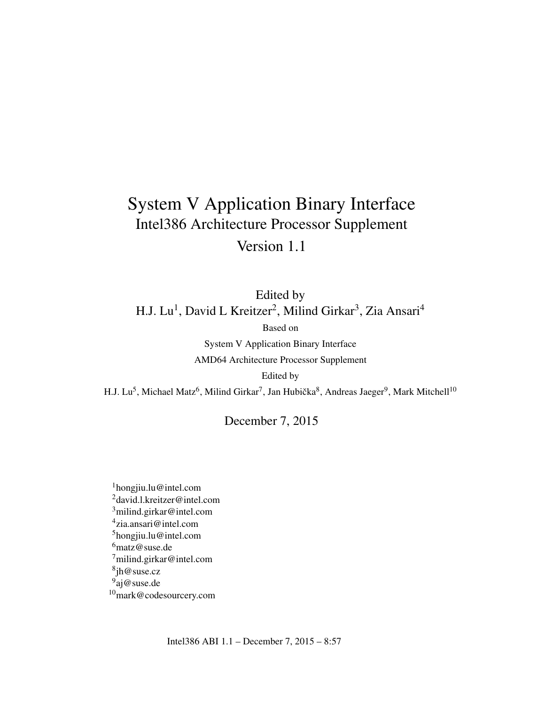## System V Application Binary Interface Intel386 Architecture Processor Supplement Version 1.1

Edited by H.J. Lu<sup>1</sup>, David L Kreitzer<sup>2</sup>, Milind Girkar<sup>3</sup>, Zia Ansari<sup>4</sup>

Based on

System V Application Binary Interface AMD64 Architecture Processor Supplement

Edited by

H.J. Lu<sup>5</sup>, Michael Matz<sup>6</sup>, Milind Girkar<sup>7</sup>, Jan Hubička $^8$ , Andreas Jaeger<sup>9</sup>, Mark Mitchell<sup>10</sup>

December 7, 2015

hongjiu.lu@intel.com david.l.kreitzer@intel.com milind.girkar@intel.com zia.ansari@intel.com hongjiu.lu@intel.com matz@suse.de milind.girkar@intel.com jh@suse.cz <sup>9</sup>aj@suse.de mark@codesourcery.com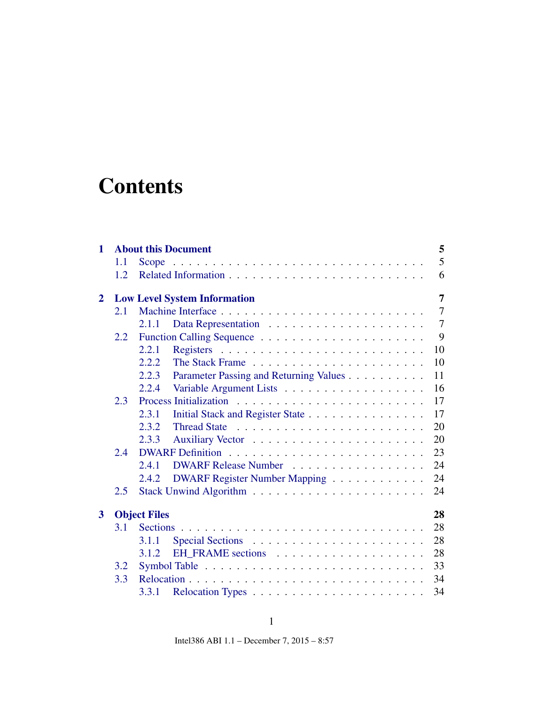# **Contents**

| $\mathbf{1}$   |     | 5<br><b>About this Document</b>                       |
|----------------|-----|-------------------------------------------------------|
|                | 1.1 | 5                                                     |
|                | 1.2 | 6                                                     |
| $\overline{2}$ |     | $\overline{7}$<br><b>Low Level System Information</b> |
|                | 2.1 | $\overline{7}$                                        |
|                |     | $\tau$<br>2.1.1                                       |
|                | 2.2 | 9                                                     |
|                |     | 10<br>2.2.1                                           |
|                |     | 10<br>2.2.2                                           |
|                |     | Parameter Passing and Returning Values<br>2.2.3<br>11 |
|                |     | 16<br>2.2.4                                           |
|                | 2.3 | 17                                                    |
|                |     | 17<br>Initial Stack and Register State<br>2.3.1       |
|                |     | 20<br>2.3.2                                           |
|                |     | 20<br>2.3.3                                           |
|                | 2.4 | 23                                                    |
|                |     | 24<br>2.4.1<br>DWARF Release Number                   |
|                |     | DWARF Register Number Mapping<br>24<br>2.4.2          |
|                | 2.5 | 24                                                    |
| 3              |     | <b>Object Files</b><br>28                             |
|                | 3.1 | 28                                                    |
|                |     | 28<br>3.1.1                                           |
|                |     | 28<br>3.1.2                                           |
|                | 3.2 | 33                                                    |
|                | 3.3 | 34                                                    |
|                |     | 34<br>3.3.1                                           |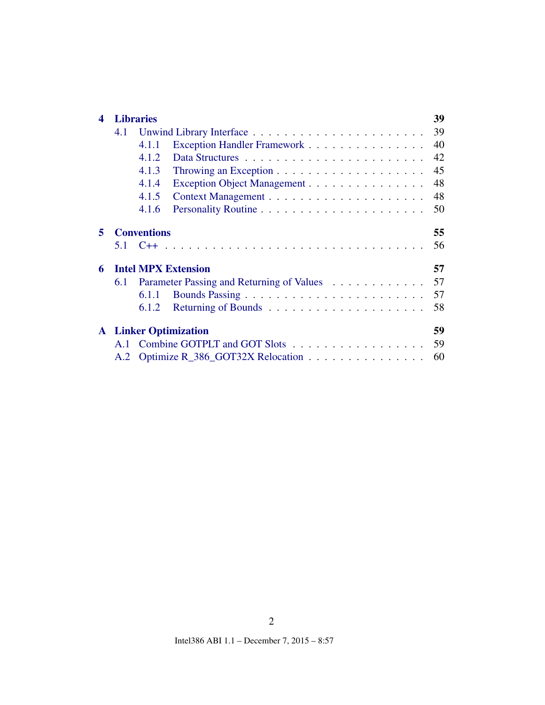| 4 |     | <b>Libraries</b>                          | 39 |
|---|-----|-------------------------------------------|----|
|   | 4.1 |                                           | 39 |
|   |     | Exception Handler Framework<br>4.1.1      | 40 |
|   |     | 4.1.2                                     | 42 |
|   |     | 4.1.3                                     | 45 |
|   |     | 4.1.4<br>Exception Object Management      | 48 |
|   |     | 4.1.5                                     | 48 |
|   |     | 4.1.6                                     | 50 |
| 5 |     | <b>Conventions</b>                        | 55 |
|   |     |                                           | 56 |
| 6 |     | <b>Intel MPX Extension</b>                | 57 |
|   | 6.1 | Parameter Passing and Returning of Values | 57 |
|   |     | 6.1.1                                     | 57 |
|   |     | 6.1.2                                     | 58 |
|   |     | <b>A</b> Linker Optimization              | 59 |
|   | A.1 | Combine GOTPLT and GOT Slots              | 59 |
|   | A.2 | Optimize R_386_GOT32X Relocation          | 60 |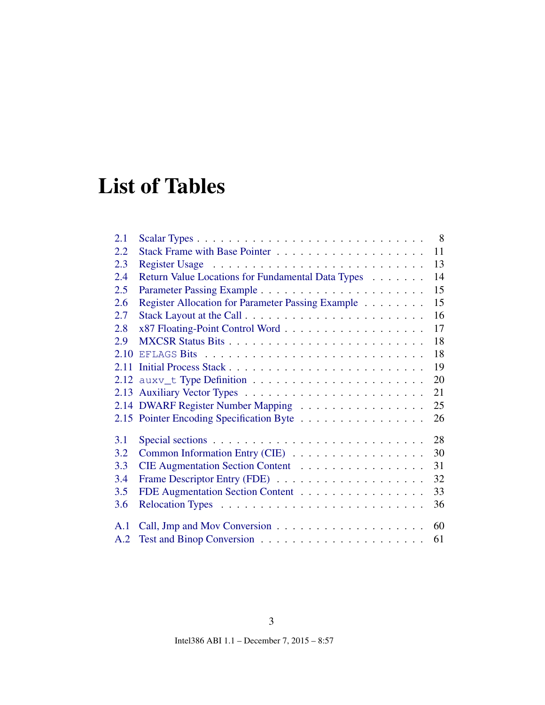# List of Tables

| 2.1  | 8 <sup>8</sup>                                          |  |
|------|---------------------------------------------------------|--|
| 2.2  | 11                                                      |  |
| 2.3  | 13                                                      |  |
| 2.4  | Return Value Locations for Fundamental Data Types<br>14 |  |
| 2.5  | 15                                                      |  |
| 2.6  | 15<br>Register Allocation for Parameter Passing Example |  |
| 2.7  | 16                                                      |  |
| 2.8  | 17                                                      |  |
| 2.9  | 18                                                      |  |
| 2.10 | 18                                                      |  |
|      | 19                                                      |  |
|      | 20                                                      |  |
|      | 21                                                      |  |
|      | 2.14 DWARF Register Number Mapping<br>25                |  |
|      | 2.15 Pointer Encoding Specification Byte<br>26          |  |
| 3.1  | 28                                                      |  |
| 3.2  | Common Information Entry (CIE)<br>30                    |  |
| 3.3  | CIE Augmentation Section Content<br>31                  |  |
| 3.4  | 32                                                      |  |
| 3.5  | FDE Augmentation Section Content<br>33                  |  |
| 3.6  | 36                                                      |  |
| A.1  | 60                                                      |  |
| A.2  | 61                                                      |  |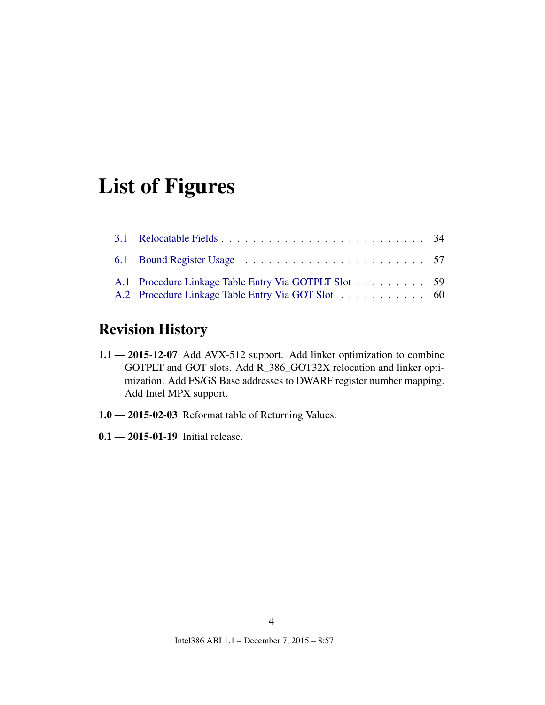# List of Figures

| A.1 Procedure Linkage Table Entry Via GOTPLT Slot 59<br>A.2 Procedure Linkage Table Entry Via GOT Slot 60 |  |  |  |  |  |
|-----------------------------------------------------------------------------------------------------------|--|--|--|--|--|

## Revision History

- 1.1 2015-12-07 Add AVX-512 support. Add linker optimization to combine GOTPLT and GOT slots. Add R\_386\_GOT32X relocation and linker optimization. Add FS/GS Base addresses to DWARF register number mapping. Add Intel MPX support.
- 1.0 2015-02-03 Reformat table of Returning Values.
- 0.1 2015-01-19 Initial release.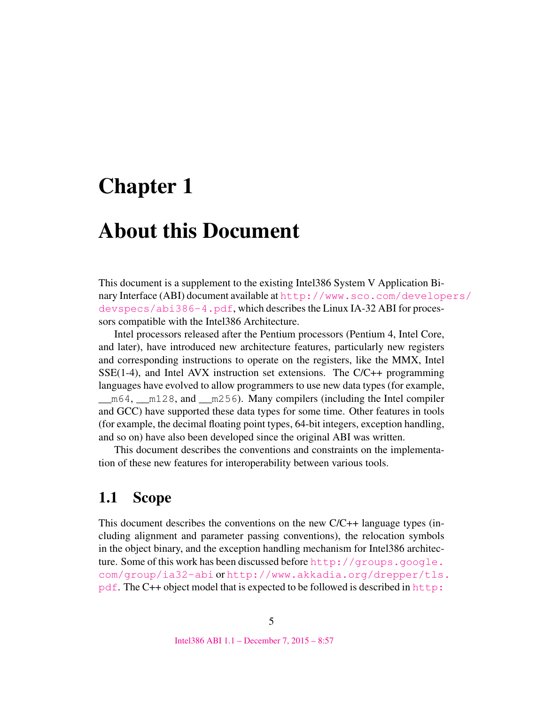# <span id="page-5-0"></span>Chapter 1

## About this Document

This document is a supplement to the existing Intel386 System V Application Binary Interface (ABI) document available at [http://www.sco.com/develop](http://www.sco.com/developers/devspecs/abi386-4.pdf)ers/ [devspecs/abi386-4.pdf](http://www.sco.com/developers/devspecs/abi386-4.pdf), which describes the Linux IA-32 ABI for processors compatible with the Intel386 Architecture.

Intel processors released after the Pentium processors (Pentium 4, Intel Core, and later), have introduced new architecture features, particularly new registers and corresponding instructions to operate on the registers, like the MMX, Intel  $SSE(1-4)$ , and Intel AVX instruction set extensions. The  $C/C++$  programming languages have evolved to allow programmers to use new data types (for example, \_\_m64, \_\_m128, and \_\_m256). Many compilers (including the Intel compiler and GCC) have supported these data types for some time. Other features in tools (for example, the decimal floating point types, 64-bit integers, exception handling, and so on) have also been developed since the original ABI was written.

This document describes the conventions and constraints on the implementation of these new features for interoperability between various tools.

### <span id="page-5-1"></span>1.1 Scope

This document describes the conventions on the new C/C++ language types (including alignment and parameter passing conventions), the relocation symbols in the object binary, and the exception handling mechanism for Intel386 architecture. Some of this work has been discussed before [http://groups.google.](http://groups.google.com/group/ia32-abi) [com/group/ia32-abi](http://groups.google.com/group/ia32-abi) or [http://www.akkadia.org/drepper/tls.](http://www.akkadia.org/drepper/tls.pdf)  $pdf.$  $pdf.$  The C++ object model that is expected to be followed is described in  $http://www.$  $http://www.$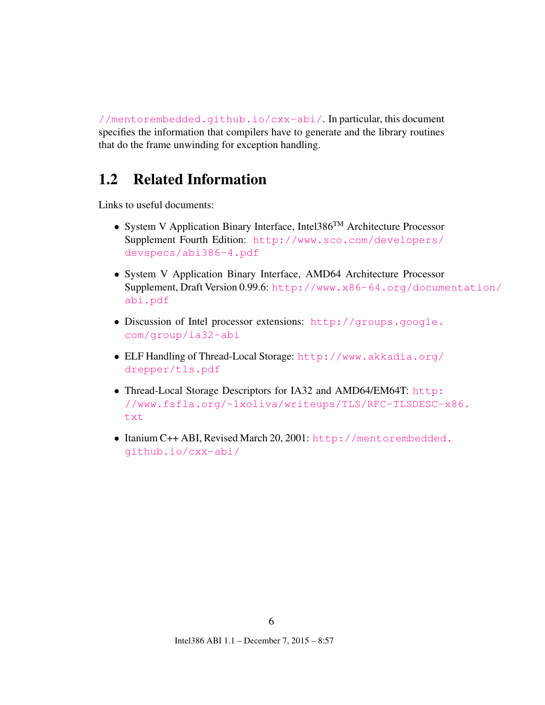[//mentorembedded.github.io/cxx-abi/](http://mentorembedded.github.io/cxx-abi/). In particular, this document specifies the information that compilers have to generate and the library routines that do the frame unwinding for exception handling.

## <span id="page-6-0"></span>1.2 Related Information

Links to useful documents:

- System V Application Binary Interface, Intel386<sup>TM</sup> Architecture Processor Supplement Fourth Edition: [http://www.sco.com/developers/](http://www.sco.com/developers/devspecs/abi386-4.pdf) [devspecs/abi386-4.pdf](http://www.sco.com/developers/devspecs/abi386-4.pdf)
- System V Application Binary Interface, AMD64 Architecture Processor Supplement, Draft Version 0.99.6: [http://www.x86-64.org/docume](http://www.x86-64.org/documentation/abi.pdf)ntation/ [abi.pdf](http://www.x86-64.org/documentation/abi.pdf)
- Discussion of Intel processor extensions: [http://groups.google.](http://groups.google.com/group/ia32-abi) [com/group/ia32-abi](http://groups.google.com/group/ia32-abi)
- ELF Handling of Thread-Local Storage: [http://www.akkadia.org/](http://www.akkadia.org/drepper/tls.pdf) [drepper/tls.pdf](http://www.akkadia.org/drepper/tls.pdf)
- Thread-Local Storage Descriptors for IA32 and AMD64/EM64T: [http:](http://www.fsfla.org/~lxoliva/writeups/TLS/RFC-TLSDESC-x86.txt) [//www.fsfla.org/~lxoliva/writeups/TLS/RFC-TLSDESC-x](http://www.fsfla.org/~lxoliva/writeups/TLS/RFC-TLSDESC-x86.txt)86. [txt](http://www.fsfla.org/~lxoliva/writeups/TLS/RFC-TLSDESC-x86.txt)
- Itanium C++ ABI, Revised March 20, 2001: [http://mentorembedded](http://mentorembedded.github.io/cxx-abi/). [github.io/cxx-abi/](http://mentorembedded.github.io/cxx-abi/)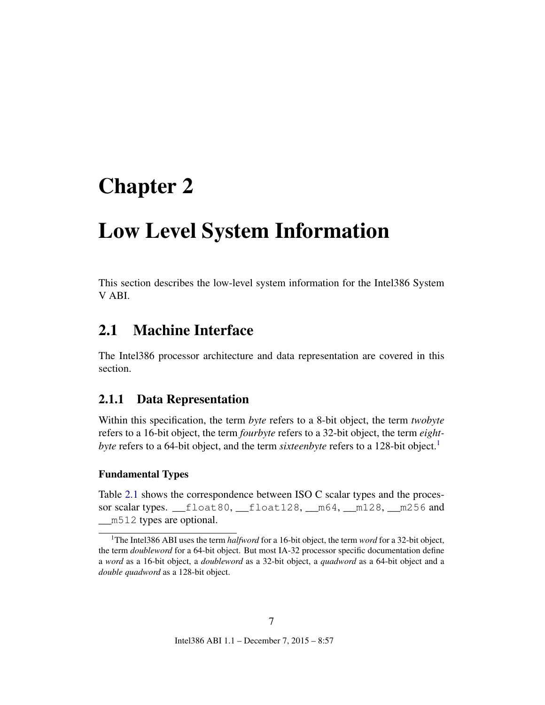# <span id="page-7-4"></span><span id="page-7-0"></span>Chapter 2

# Low Level System Information

This section describes the low-level system information for the Intel386 System V ABI.

## <span id="page-7-1"></span>2.1 Machine Interface

The Intel386 processor architecture and data representation are covered in this section.

#### <span id="page-7-2"></span>2.1.1 Data Representation

Within this specification, the term *byte* refers to a 8-bit object, the term *twobyte* refers to a 16-bit object, the term *fourbyte* refers to a 32-bit object, the term *eightbyte* refers to a 64-bit object, and the term *sixteenbyte* refers to a [1](#page-7-3)28-bit object.<sup>1</sup>

#### Fundamental Types

Table [2.1](#page-8-0) shows the correspondence between ISO C scalar types and the processor scalar types. \_\_float80, \_\_float128, \_\_m64, \_\_m128, \_\_m256 and m512 types are optional.

7

<span id="page-7-3"></span><sup>1</sup>The Intel386 ABI uses the term *halfword* for a 16-bit object, the term *word* for a 32-bit object, the term *doubleword* for a 64-bit object. But most IA-32 processor specific documentation define a *word* as a 16-bit object, a *doubleword* as a 32-bit object, a *quadword* as a 64-bit object and a *double quadword* as a 128-bit object.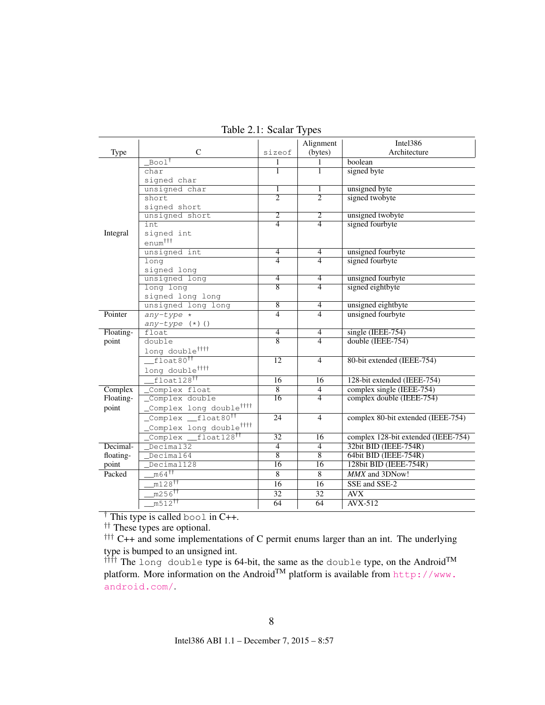|           |                                                                            |                     | Alignment       | Intel386                            |
|-----------|----------------------------------------------------------------------------|---------------------|-----------------|-------------------------------------|
| Type      | $\mathcal{C}$                                                              | sizeof              | (bytes)         | Architecture                        |
|           | $Boo1^{\dagger}$                                                           | 1                   | $\mathbf{1}$    | boolean                             |
|           | char                                                                       | T                   | T               | signed byte                         |
|           | signed char                                                                |                     |                 |                                     |
|           | unsigned char                                                              | 1                   | 1               | unsigned byte                       |
|           | short                                                                      | $\overline{2}$      | $\overline{2}$  | signed twobyte                      |
|           | signed short                                                               |                     |                 |                                     |
|           | unsigned short                                                             | $\overline{2}$      | $\overline{2}$  | unsigned twobyte                    |
|           | int.                                                                       | $\overline{4}$      | $\overline{4}$  | signed fourbyte                     |
| Integral  | signed int                                                                 |                     |                 |                                     |
|           | enum <sup>†††</sup>                                                        |                     |                 |                                     |
|           | unsigned int                                                               | $\overline{4}$      | $\overline{4}$  | unsigned fourbyte                   |
|           | long                                                                       | $\overline{4}$      | $\overline{4}$  | signed fourbyte                     |
|           | signed long                                                                |                     |                 |                                     |
|           | unsigned long                                                              | $\overline{4}$      | $\overline{4}$  | unsigned fourbyte                   |
|           | long long                                                                  | $\overline{8}$      | $\overline{4}$  | signed eightbyte                    |
|           | signed long long                                                           |                     |                 |                                     |
|           | unsigned long long                                                         | 8<br>$\overline{4}$ | $\overline{4}$  | unsigned eightbyte                  |
| Pointer   | $any-type *$                                                               |                     | $\overline{4}$  | unsigned fourbyte                   |
|           | $any-type (+) ()$                                                          | $\overline{4}$      | $\overline{4}$  | $single$ (IEEE-754)                 |
| Floating- | float<br>double                                                            | $\overline{8}$      | $\overline{4}$  | double (IEEE-754)                   |
| point     |                                                                            |                     |                 |                                     |
|           | long double <sup>tttt</sup>                                                |                     |                 |                                     |
|           | float80 <sup>11</sup>                                                      | $\overline{12}$     | $\overline{4}$  | 80-bit extended (IEEE-754)          |
|           | long double <sup>tttt</sup>                                                |                     |                 |                                     |
|           | $float128$ <sup>††</sup>                                                   | 16                  | 16              | 128-bit extended (IEEE-754)         |
| Complex   | Complex float                                                              | $\overline{8}$      | $\overline{4}$  | complex single (IEEE-754)           |
| Floating- | Complex double                                                             | $\overline{16}$     | $\overline{4}$  | complex double (IEEE-754)           |
| point     | _Complex long double <sup>tttt</sup>                                       |                     |                 |                                     |
|           | Complex float80 <sup>11</sup>                                              | 24                  | $\overline{4}$  | complex 80-bit extended (IEEE-754)  |
|           | _Complex long double <sup>tttt</sup>                                       |                     |                 |                                     |
|           | $f$ loat $128$ <sup>††</sup><br>$\overline{\_\_$ <sup>Complex</sup> $\_\_$ | 32                  | 16              | complex 128-bit extended (IEEE-754) |
| Decimal-  | Decimal32                                                                  | $\overline{4}$      | $\overline{4}$  | 32bit BID (IEEE-754R)               |
| floating- | Decimal64                                                                  | $\overline{8}$      | $\overline{8}$  | 64bit BID (IEEE-754R)               |
| point     | Decimal128                                                                 | 16                  | 16              | 128bit BID (IEEE-754R)              |
| Packed    | $m64$ <sup>††</sup>                                                        | 8                   | 8               | MMX and 3DNow!                      |
|           | $m128$ <sup>tt</sup>                                                       | $\overline{16}$     | $\overline{16}$ | SSE and SSE-2                       |
|           | m256 <sup>11</sup>                                                         | $\overline{32}$     | 32              | $\overline{A}V\overline{X}$         |
|           | $m512$ <sup>tt</sup>                                                       | 64                  | 64              | AVX-512                             |
|           |                                                                            |                     |                 |                                     |

<span id="page-8-0"></span>Table 2.1: Scalar Types

 $\dagger$  This type is called bool in C++.

†† These types are optional.

 $\uparrow$ <sup>†††</sup> C++ and some implementations of C permit enums larger than an int. The underlying type is bumped to an unsigned int.

 $\text{if } \text{if } t$  The long double type is 64-bit, the same as the double type, on the Android  $\text{TM}$ platform. More information on the Android<sup>TM</sup> platform is available from [http://www.](http://www.android.com/) [android.com/](http://www.android.com/).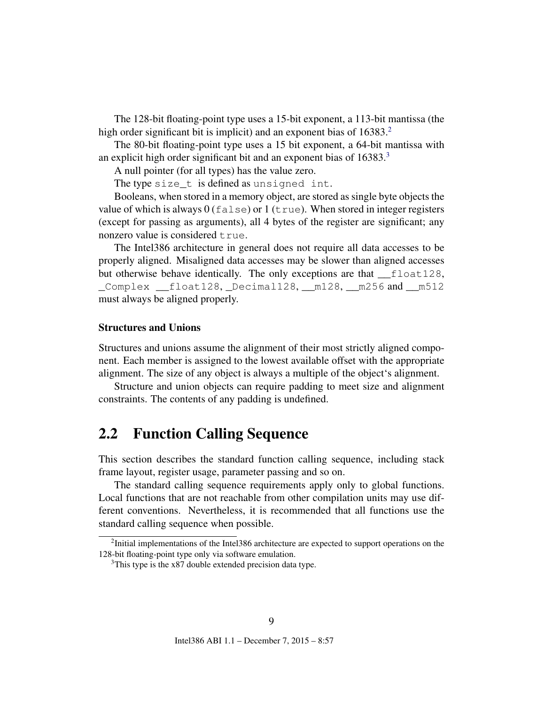<span id="page-9-3"></span>The 128-bit floating-point type uses a 15-bit exponent, a 113-bit mantissa (the high order significant bit is implicit) and an exponent bias of 16383.<sup>[2](#page-9-1)</sup>

The 80-bit floating-point type uses a 15 bit exponent, a 64-bit mantissa with an explicit high order significant bit and an exponent bias of 16[3](#page-9-2)83.<sup>3</sup>

A null pointer (for all types) has the value zero.

The type size\_t is defined as unsigned int.

Booleans, when stored in a memory object, are stored as single byte objects the value of which is always  $0$  (false) or  $1$  (true). When stored in integer registers (except for passing as arguments), all 4 bytes of the register are significant; any nonzero value is considered true.

The Intel386 architecture in general does not require all data accesses to be properly aligned. Misaligned data accesses may be slower than aligned accesses but otherwise behave identically. The only exceptions are that \_\_float128, \_Complex \_\_float128, \_Decimal128, \_\_m128, \_\_m256 and \_\_m512 must always be aligned properly.

#### Structures and Unions

Structures and unions assume the alignment of their most strictly aligned component. Each member is assigned to the lowest available offset with the appropriate alignment. The size of any object is always a multiple of the object's alignment.

Structure and union objects can require padding to meet size and alignment constraints. The contents of any padding is undefined.

### <span id="page-9-0"></span>2.2 Function Calling Sequence

This section describes the standard function calling sequence, including stack frame layout, register usage, parameter passing and so on.

The standard calling sequence requirements apply only to global functions. Local functions that are not reachable from other compilation units may use different conventions. Nevertheless, it is recommended that all functions use the standard calling sequence when possible.

<span id="page-9-1"></span> $2$ Initial implementations of the Intel386 architecture are expected to support operations on the 128-bit floating-point type only via software emulation.

<span id="page-9-2"></span><sup>&</sup>lt;sup>3</sup>This type is the x87 double extended precision data type.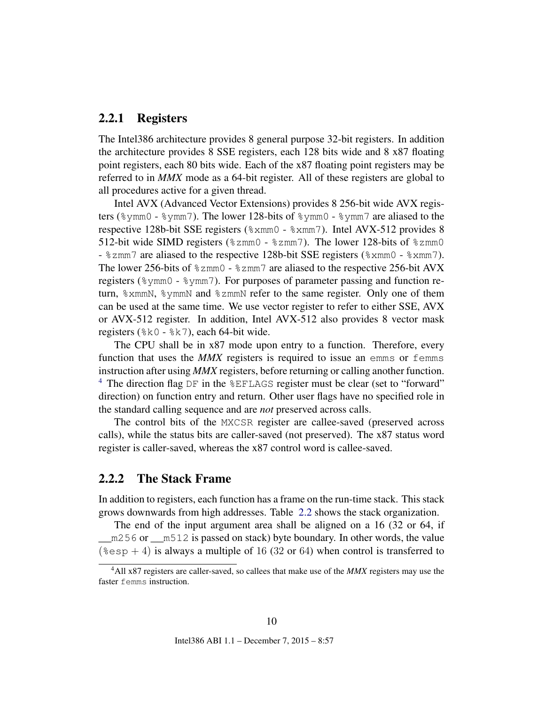#### <span id="page-10-0"></span>2.2.1 Registers

The Intel386 architecture provides 8 general purpose 32-bit registers. In addition the architecture provides 8 SSE registers, each 128 bits wide and 8 x87 floating point registers, each 80 bits wide. Each of the x87 floating point registers may be referred to in *MMX* mode as a 64-bit register. All of these registers are global to all procedures active for a given thread.

Intel AVX (Advanced Vector Extensions) provides 8 256-bit wide AVX registers (%ymm0 - %ymm7). The lower 128-bits of %ymm0 - %ymm7 are aliased to the respective 128b-bit SSE registers (%xmm0 - %xmm7). Intel AVX-512 provides 8 512-bit wide SIMD registers ( $\text{\%zmm0}$  -  $\text{\%zmm7}$ ). The lower 128-bits of  $\text{\%zmm0}$ - %zmm7 are aliased to the respective 128b-bit SSE registers (%xmm0 - %xmm7). The lower 256-bits of %zmm0 - %zmm7 are aliased to the respective 256-bit AVX registers (%ymm0 - %ymm7). For purposes of parameter passing and function return, %xmmN, %ymmN and %zmmN refer to the same register. Only one of them can be used at the same time. We use vector register to refer to either SSE, AVX or AVX-512 register. In addition, Intel AVX-512 also provides 8 vector mask registers (%k0 - %k7), each 64-bit wide.

The CPU shall be in x87 mode upon entry to a function. Therefore, every function that uses the *MMX* registers is required to issue an emms or femms instruction after using *MMX* registers, before returning or calling another function. <sup>[4](#page-10-2)</sup> The direction flag DF in the  $EFLAGS$  register must be clear (set to "forward" direction) on function entry and return. Other user flags have no specified role in the standard calling sequence and are *not* preserved across calls.

The control bits of the MXCSR register are callee-saved (preserved across calls), while the status bits are caller-saved (not preserved). The x87 status word register is caller-saved, whereas the x87 control word is callee-saved.

#### <span id="page-10-1"></span>2.2.2 The Stack Frame

In addition to registers, each function has a frame on the run-time stack. This stack grows downwards from high addresses. Table [2.2](#page-11-1) shows the stack organization.

The end of the input argument area shall be aligned on a 16 (32 or 64, if \_\_m256 or \_\_m512 is passed on stack) byte boundary. In other words, the value  $(*esp + 4)$  is always a multiple of 16 (32 or 64) when control is transferred to

<span id="page-10-2"></span><sup>4</sup>All x87 registers are caller-saved, so callees that make use of the *MMX* registers may use the faster femms instruction.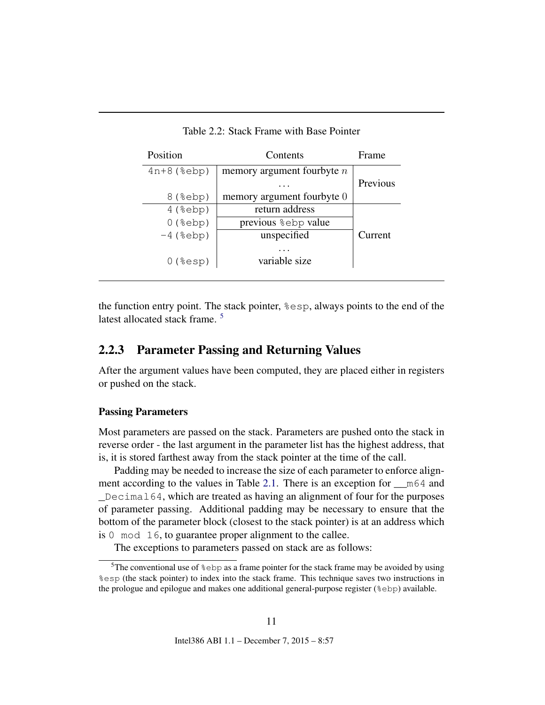| Position          | Contents                        | Frame    |
|-------------------|---------------------------------|----------|
| $4n+8$ ( $8ebp$ ) | memory argument fourbyte $n$    |          |
|                   |                                 | Previous |
| $8$ ( $8$ ebp)    | memory argument fourbyte 0      |          |
| $4$ (%ebp)        | return address                  |          |
| $0$ (%ebp)        | previous <sup>8</sup> ebp value |          |
| $-4$ (%ebp)       | unspecified                     | Current  |
| $0$ (%esp)        | variable size                   |          |

<span id="page-11-1"></span>Table 2.2: Stack Frame with Base Pointer

the function entry point. The stack pointer, %esp, always points to the end of the latest allocated stack frame.<sup>[5](#page-11-2)</sup>

#### <span id="page-11-0"></span>2.2.3 Parameter Passing and Returning Values

After the argument values have been computed, they are placed either in registers or pushed on the stack.

#### Passing Parameters

Most parameters are passed on the stack. Parameters are pushed onto the stack in reverse order - the last argument in the parameter list has the highest address, that is, it is stored farthest away from the stack pointer at the time of the call.

Padding may be needed to increase the size of each parameter to enforce align-ment according to the values in Table [2.1.](#page-8-0) There is an exception for  $\_\text{m64}$  and  $\Box$ Decimal64, which are treated as having an alignment of four for the purposes of parameter passing. Additional padding may be necessary to ensure that the bottom of the parameter block (closest to the stack pointer) is at an address which is 0 mod 16, to guarantee proper alignment to the callee.

The exceptions to parameters passed on stack are as follows:

<span id="page-11-2"></span><sup>&</sup>lt;sup>5</sup>The conventional use of  $\S$ ebp as a frame pointer for the stack frame may be avoided by using %esp (the stack pointer) to index into the stack frame. This technique saves two instructions in the prologue and epilogue and makes one additional general-purpose register (%ebp) available.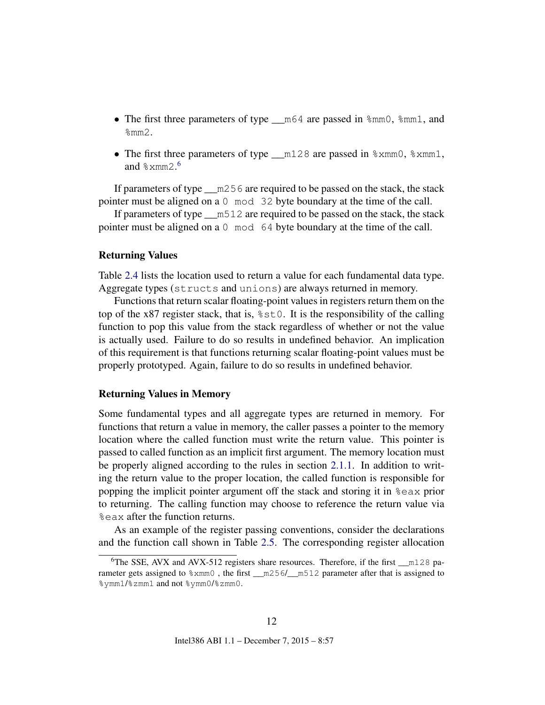- The first three parameters of type  $\_\text{m64}$  are passed in  $\text{\%mm0}$ ,  $\text{\%mm1}$ , and  $\text{\%mm2.}$
- The first three parameters of type  $\text{m128}$  are passed in  $\text{3}x \text{mm0}$ ,  $\text{3}x \text{mm1}$ , and  $\degree$ xmm2.<sup>[6](#page-12-0)</sup>

If parameters of type  $\_\mathrm{m256}$  are required to be passed on the stack, the stack pointer must be aligned on a 0 mod 32 byte boundary at the time of the call.

If parameters of type \_\_m512 are required to be passed on the stack, the stack pointer must be aligned on a 0 mod 64 byte boundary at the time of the call.

#### Returning Values

Table [2.4](#page-14-0) lists the location used to return a value for each fundamental data type. Aggregate types (structs and unions) are always returned in memory.

Functions that return scalar floating-point values in registers return them on the top of the x87 register stack, that is, %st0. It is the responsibility of the calling function to pop this value from the stack regardless of whether or not the value is actually used. Failure to do so results in undefined behavior. An implication of this requirement is that functions returning scalar floating-point values must be properly prototyped. Again, failure to do so results in undefined behavior.

#### Returning Values in Memory

Some fundamental types and all aggregate types are returned in memory. For functions that return a value in memory, the caller passes a pointer to the memory location where the called function must write the return value. This pointer is passed to called function as an implicit first argument. The memory location must be properly aligned according to the rules in section [2.1.1.](#page-7-2) In addition to writing the return value to the proper location, the called function is responsible for popping the implicit pointer argument off the stack and storing it in %eax prior to returning. The calling function may choose to reference the return value via %eax after the function returns.

As an example of the register passing conventions, consider the declarations and the function call shown in Table [2.5.](#page-15-0) The corresponding register allocation

<span id="page-12-0"></span><sup>&</sup>lt;sup>6</sup>The SSE, AVX and AVX-512 registers share resources. Therefore, if the first \_\_m128 parameter gets assigned to  $% x$ mm0, the first \_\_m256/\_\_m512 parameter after that is assigned to %ymm1/%zmm1 and not %ymm0/%zmm0.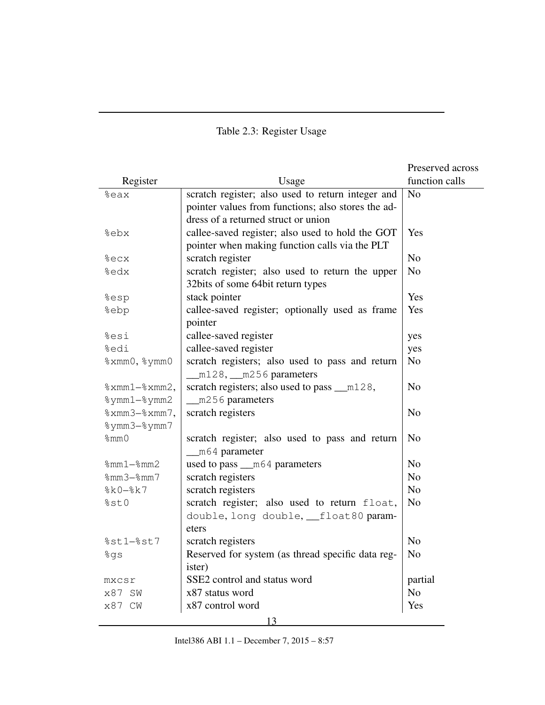### <span id="page-13-0"></span>Table 2.3: Register Usage

|                 |                                                    | Preserved across |
|-----------------|----------------------------------------------------|------------------|
| Register        | Usage                                              | function calls   |
| %eax            | scratch register; also used to return integer and  | N <sub>0</sub>   |
|                 | pointer values from functions; also stores the ad- |                  |
|                 | dress of a returned struct or union                |                  |
| %ebx            | callee-saved register; also used to hold the GOT   | Yes              |
|                 | pointer when making function calls via the PLT     |                  |
| %ecx            | scratch register                                   | N <sub>o</sub>   |
| %edx            | scratch register; also used to return the upper    | N <sub>o</sub>   |
|                 | 32bits of some 64bit return types                  |                  |
| %esp            | stack pointer                                      | Yes              |
| %ebp            | callee-saved register; optionally used as frame    | Yes              |
|                 | pointer                                            |                  |
| %esi            | callee-saved register                              | yes              |
| %edi            | callee-saved register                              | yes              |
| %xmm0, %ymm0    | scratch registers; also used to pass and return    | N <sub>o</sub>   |
|                 | m128, __ m256 parameters                           |                  |
| $% xmm1 xmm2,$  | scratch registers; also used to pass __m128,       | N <sub>o</sub>   |
| %ymm1-%ymm2     | m256 parameters                                    |                  |
| $% xmm3 xmm7$ , | scratch registers                                  | N <sub>o</sub>   |
| %ymm3-%ymm7     |                                                    |                  |
| $\text{\%mm0}$  | scratch register; also used to pass and return     | N <sub>o</sub>   |
|                 | m64 parameter                                      |                  |
| $%mm1-%mm2$     | used to pass __m64 parameters                      | N <sub>o</sub>   |
| $%mm3-%mm7$     | scratch registers                                  | N <sub>o</sub>   |
| $8k0 - 8k7$     | scratch registers                                  | N <sub>o</sub>   |
| %st0            | scratch register; also used to return float,       | N <sub>o</sub>   |
|                 | double, long double, __float80 param-              |                  |
|                 | eters                                              |                  |
| $%st1-%st7$     | scratch registers                                  | N <sub>o</sub>   |
| %gs             | Reserved for system (as thread specific data reg-  | N <sub>o</sub>   |
|                 | ister)                                             |                  |
| mxcsr           | SSE2 control and status word                       | partial          |
| x87 SW          | x87 status word                                    | N <sub>o</sub>   |
| x87 CW          | x87 control word                                   | Yes              |
|                 | 13                                                 |                  |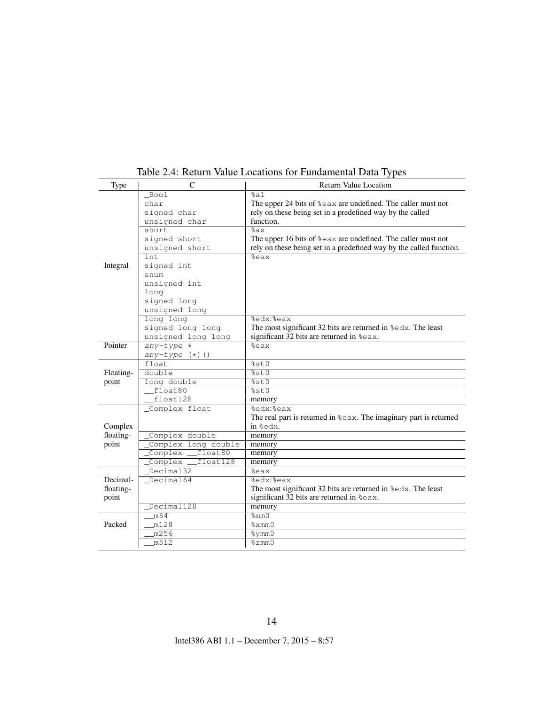| Type      | $\mathcal{C}$                                                                    | <b>Return Value Location</b>                                                |
|-----------|----------------------------------------------------------------------------------|-----------------------------------------------------------------------------|
|           | Bool                                                                             | %a1                                                                         |
|           | char                                                                             | The upper 24 bits of $\epsilon$ ax are undefined. The caller must not       |
|           | signed char                                                                      | rely on these being set in a predefined way by the called                   |
|           | unsigned char                                                                    | function.                                                                   |
|           | short                                                                            | $\sqrt{2ax}$                                                                |
|           | signed short                                                                     | The upper 16 bits of $\epsilon$ eax are undefined. The caller must not      |
|           | unsigned short                                                                   | rely on these being set in a predefined way by the called function.         |
|           | int.                                                                             | %eax                                                                        |
| Integral  | signed int                                                                       |                                                                             |
|           | enum                                                                             |                                                                             |
|           | unsigned int                                                                     |                                                                             |
|           | long                                                                             |                                                                             |
|           | signed long                                                                      |                                                                             |
|           | unsigned long                                                                    |                                                                             |
|           | long long                                                                        | <b>&amp;edx: &amp;eax</b>                                                   |
|           | signed long long                                                                 | The most significant 32 bits are returned in $\text{sedx}$ . The least      |
|           | unsigned long long                                                               | significant 32 bits are returned in $\text{seax}$ .                         |
| Pointer   | $any-type *$                                                                     | %eax                                                                        |
|           | $any-type (+) ()$                                                                |                                                                             |
|           | float                                                                            | %st0                                                                        |
| Floating- | double                                                                           | 8st0                                                                        |
| point     | long double                                                                      | 8st0                                                                        |
|           | float80                                                                          | 8st0                                                                        |
|           | float128                                                                         | memory                                                                      |
|           | _Complex float                                                                   | %edx:%eax                                                                   |
|           |                                                                                  | The real part is returned in $\epsilon$ eax. The imaginary part is returned |
| Complex   |                                                                                  | in %edx.                                                                    |
| floating- | Complex double                                                                   | memory                                                                      |
| point     | Complex long double                                                              | memory                                                                      |
|           | float80<br>$\overline{\underline{\hspace{2cm}}$ Complex $\overline{\phantom{0}}$ | memory                                                                      |
|           | Complex _<br>float128                                                            | memory                                                                      |
|           | Decimal32                                                                        | %eax                                                                        |
| Decimal-  | Decimal64                                                                        | <b>&amp;edx: &amp;eax</b>                                                   |
| floating- |                                                                                  | The most significant 32 bits are returned in $\text{sedx}$ . The least      |
| point     |                                                                                  | significant 32 bits are returned in %eax.                                   |
|           | Decimal128                                                                       | memory                                                                      |
|           | m64                                                                              | $\sqrt{\frac{2}{5}}$                                                        |
| Packed    | m128                                                                             | %xmm0                                                                       |
|           | m256                                                                             | %ymm0                                                                       |
|           | m512                                                                             | $\frac{2}{3}$ zmm $\frac{1}{2}$                                             |

<span id="page-14-0"></span>Table 2.4: Return Value Locations for Fundamental Data Types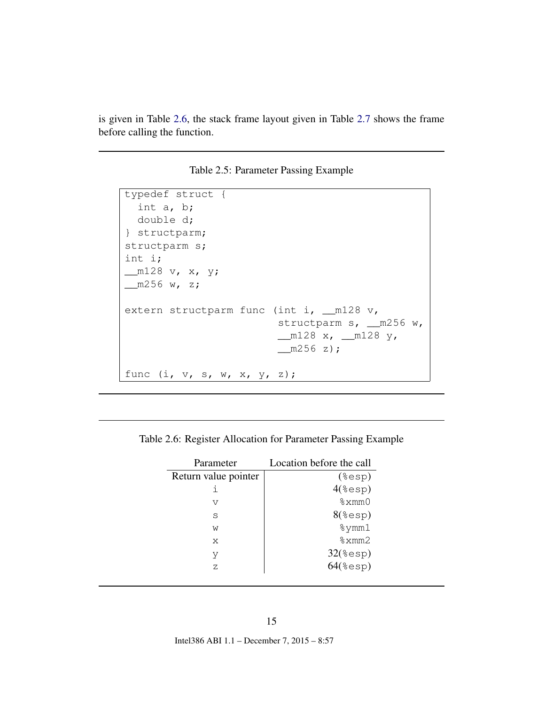is given in Table [2.6,](#page-15-1) the stack frame layout given in Table [2.7](#page-16-1) shows the frame before calling the function.

<span id="page-15-0"></span>Table 2.5: Parameter Passing Example

```
typedef struct {
  int a, b;
  double d;
} structparm;
structparm s;
int i;
__m128 v, x, y;
m256 w, z;extern structparm func (int i, __m128 v,
                        structparm s, _ m256 w,
                        __m128 x, __m128 y,
                        m256 z;
func (i, v, s, w, x, y, z);
```
<span id="page-15-1"></span>

| Parameter            | Location before the call |
|----------------------|--------------------------|
| Return value pointer | $(*exp)$                 |
|                      | $4$ (%esp)               |
| $\overline{V}$       | %xmm()                   |
| S                    | $8$ (%esp)               |
| W                    | $\gamma$ mm $1$          |
| X                    | %xmm2                    |
| V                    | $32$ (%esp)              |
| Ζ                    | $64$ (%esp)              |
|                      |                          |

Table 2.6: Register Allocation for Parameter Passing Example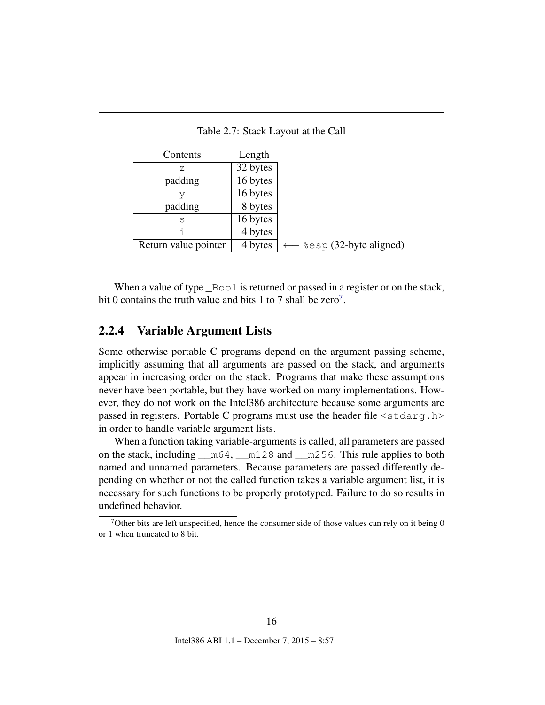| Contents             | Length   |                            |
|----------------------|----------|----------------------------|
| 7.                   | 32 bytes |                            |
| padding              | 16 bytes |                            |
| V                    | 16 bytes |                            |
| padding              | 8 bytes  |                            |
| S                    | 16 bytes |                            |
|                      | 4 bytes  |                            |
| Return value pointer | 4 bytes  | $-$ %esp (32-byte aligned) |

<span id="page-16-1"></span>Table 2.7: Stack Layout at the Call

When a value of type  $\text{\textcircled{}}$  Bool is returned or passed in a register or on the stack, bit 0 contains the truth value and bits 1 to [7](#page-16-2) shall be zero<sup>7</sup>.

#### <span id="page-16-0"></span>2.2.4 Variable Argument Lists

Some otherwise portable C programs depend on the argument passing scheme, implicitly assuming that all arguments are passed on the stack, and arguments appear in increasing order on the stack. Programs that make these assumptions never have been portable, but they have worked on many implementations. However, they do not work on the Intel386 architecture because some arguments are passed in registers. Portable C programs must use the header file  $\langle$ stdarg.h> in order to handle variable argument lists.

When a function taking variable-arguments is called, all parameters are passed on the stack, including \_\_m64, \_\_m128 and \_\_m256. This rule applies to both named and unnamed parameters. Because parameters are passed differently depending on whether or not the called function takes a variable argument list, it is necessary for such functions to be properly prototyped. Failure to do so results in undefined behavior.

16

<span id="page-16-2"></span> $7$ Other bits are left unspecified, hence the consumer side of those values can rely on it being 0 or 1 when truncated to 8 bit.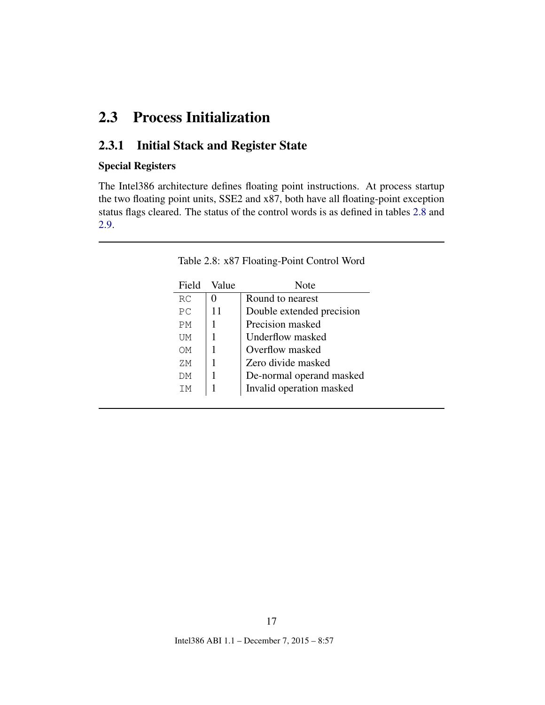## <span id="page-17-0"></span>2.3 Process Initialization

### <span id="page-17-1"></span>2.3.1 Initial Stack and Register State

#### Special Registers

The Intel386 architecture defines floating point instructions. At process startup the two floating point units, SSE2 and x87, both have all floating-point exception status flags cleared. The status of the control words is as defined in tables [2.8](#page-17-2) and [2.9.](#page-18-0)

| Field | Value | Note                      |
|-------|-------|---------------------------|
| RC    |       | Round to nearest          |
| РC    | 11    | Double extended precision |
| PМ    |       | Precision masked          |
| UМ    |       | Underflow masked          |
| OΜ    |       | Overflow masked           |
| ΖM    |       | Zero divide masked        |
| DМ    |       | De-normal operand masked  |
| TМ    | 1     | Invalid operation masked  |

<span id="page-17-2"></span>Table 2.8: x87 Floating-Point Control Word

17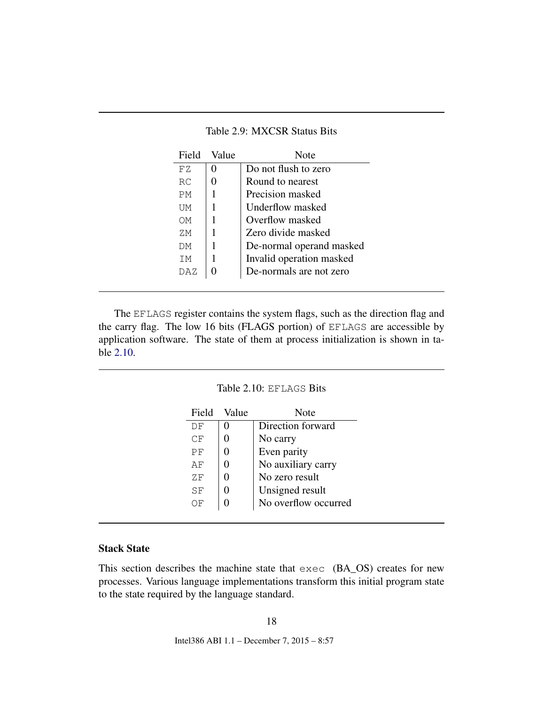<span id="page-18-2"></span>

| FZ.<br>RC. | 0 |                          |
|------------|---|--------------------------|
|            |   | Do not flush to zero     |
|            | 0 | Round to nearest         |
| <b>PM</b>  |   | Precision masked         |
| UМ         | 1 | Underflow masked         |
| OМ         |   | Overflow masked          |
| ΖM.        |   | Zero divide masked       |
| DМ         |   | De-normal operand masked |
| TM.        |   | Invalid operation masked |
| DAZ        |   | De-normals are not zero  |

<span id="page-18-0"></span>Table 2.9: MXCSR Status Bits

The EFLAGS register contains the system flags, such as the direction flag and the carry flag. The low 16 bits (FLAGS portion) of EFLAGS are accessible by application software. The state of them at process initialization is shown in table [2.10.](#page-18-1)

#### <span id="page-18-1"></span>Table 2.10: EFLAGS Bits

| Field | – Value | Note                 |
|-------|---------|----------------------|
| DF    |         | Direction forward    |
| CF    |         | No carry             |
| РF    |         | Even parity          |
| AF    |         | No auxiliary carry   |
| ΖF    |         | No zero result       |
| SF    |         | Unsigned result      |
| ОF    |         | No overflow occurred |
|       |         |                      |

#### Stack State

This section describes the machine state that exec (BA\_OS) creates for new processes. Various language implementations transform this initial program state to the state required by the language standard.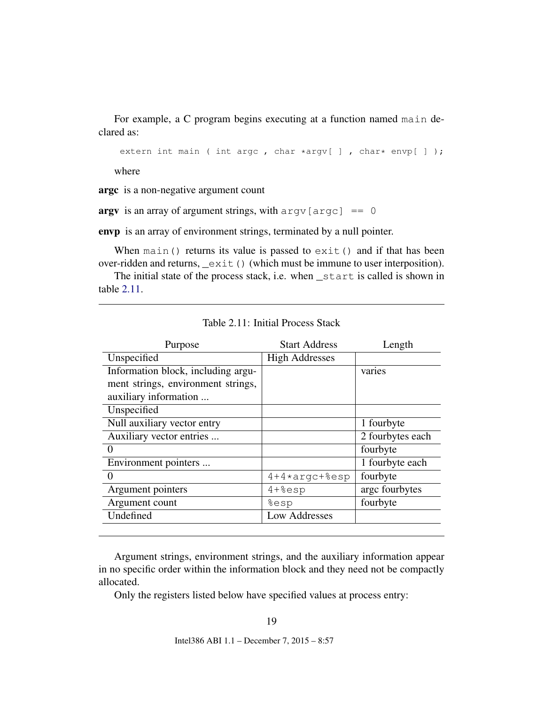For example, a C program begins executing at a function named main declared as:

extern int main ( int argc, char \*argv[ ], char\* envp[ ]);

where

argc is a non-negative argument count

argy is an array of argument strings, with  $\text{arg}v$  [argc] == 0

envp is an array of environment strings, terminated by a null pointer.

When main() returns its value is passed to  $exit()$  and if that has been over-ridden and returns, \_exit() (which must be immune to user interposition).

The initial state of the process stack, i.e. when \_start is called is shown in table [2.11.](#page-19-0)

| Purpose                            | <b>Start Address</b>  | Length           |
|------------------------------------|-----------------------|------------------|
| Unspecified                        | <b>High Addresses</b> |                  |
| Information block, including argu- |                       | varies           |
| ment strings, environment strings, |                       |                  |
| auxiliary information              |                       |                  |
| Unspecified                        |                       |                  |
| Null auxiliary vector entry        |                       | 1 fourbyte       |
| Auxiliary vector entries           |                       | 2 fourbytes each |
| 0                                  |                       | fourbyte         |
| Environment pointers               |                       | 1 fourbyte each  |
| $\mathbf{0}$                       | $4+4*argc+8esp$       | fourbyte         |
| Argument pointers                  | $4 + 8$ esp           | argc fourbytes   |
| Argument count                     | %esp                  | fourbyte         |
| Undefined                          | Low Addresses         |                  |
|                                    |                       |                  |

<span id="page-19-0"></span>Table 2.11: Initial Process Stack

Argument strings, environment strings, and the auxiliary information appear in no specific order within the information block and they need not be compactly allocated.

Only the registers listed below have specified values at process entry: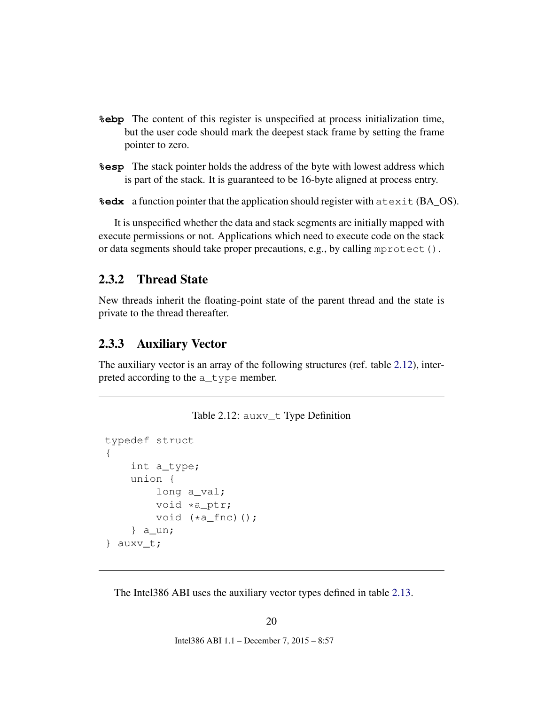- <span id="page-20-3"></span>**%ebp** The content of this register is unspecified at process initialization time, but the user code should mark the deepest stack frame by setting the frame pointer to zero.
- **%esp** The stack pointer holds the address of the byte with lowest address which is part of the stack. It is guaranteed to be 16-byte aligned at process entry.

**%edx** a function pointer that the application should register with atexit (BA\_OS).

It is unspecified whether the data and stack segments are initially mapped with execute permissions or not. Applications which need to execute code on the stack or data segments should take proper precautions, e.g., by calling mprotect().

#### <span id="page-20-0"></span>2.3.2 Thread State

New threads inherit the floating-point state of the parent thread and the state is private to the thread thereafter.

#### <span id="page-20-1"></span>2.3.3 Auxiliary Vector

The auxiliary vector is an array of the following structures (ref. table [2.12\)](#page-20-2), interpreted according to the a\_type member.

<span id="page-20-2"></span>

|  | Table 2.12: auxv_t Type Definition |
|--|------------------------------------|
|--|------------------------------------|

```
typedef struct
{
    int a_type;
    union {
        long a_val;
        void *a_ptr;
        void (*a_fnc)();} a_un;
} auxv_t;
```
The Intel386 ABI uses the auxiliary vector types defined in table [2.13.](#page-21-0)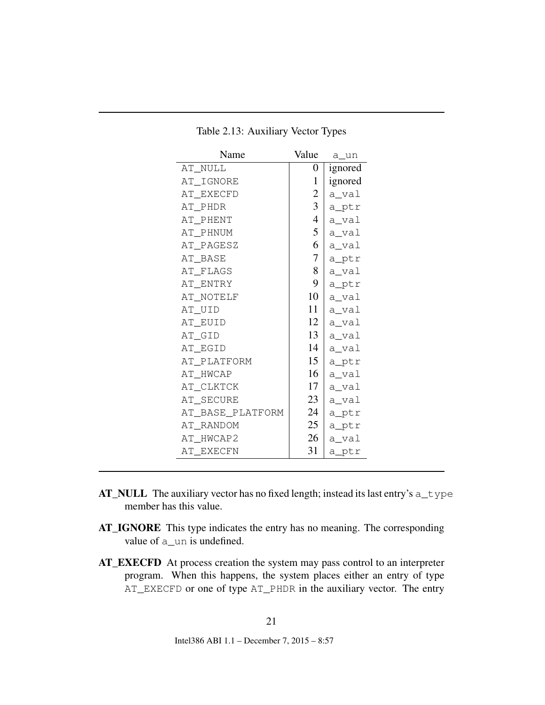| Name             | Value        | a un    |
|------------------|--------------|---------|
| AT NULL          | 0            | ignored |
| AT_IGNORE        | $\mathbf{1}$ | ignored |
| AT EXECFD        | 2            | a_val   |
| AT PHDR          | 3            | a_ptr   |
| AT PHENT         | 4            | a_val   |
| AT PHNUM         | 5            | a_val   |
| AT PAGESZ        | 6            | a_val   |
| AT BASE          | 7            | a_ptr   |
| AT FLAGS         | 8            | a_val   |
| AT ENTRY         | 9            | a_ptr   |
| AT NOTELF        | 10           | a_val   |
| AT_UID           | 11           | a_val   |
| AT EUID          | 12           | a_val   |
| AT_GID           | 13           | a_val   |
| AT EGID          | 14           | a_val   |
| AT_PLATFORM      | 15           | a_ptr   |
| AT HWCAP         | 16           | a_val   |
| AT_CLKTCK        | 17           | a_val   |
| AT SECURE        | 23           | a_val   |
| AT_BASE_PLATFORM | 24           | a_ptr   |
| AT RANDOM        | 25           | a_ptr   |
| AT HWCAP2        | 26           | a_val   |
| AT EXECFN        | 31           | a_ptr   |

<span id="page-21-0"></span>Table 2.13: Auxiliary Vector Types

- AT\_NULL The auxiliary vector has no fixed length; instead its last entry's a\_type member has this value.
- AT\_IGNORE This type indicates the entry has no meaning. The corresponding value of a\_un is undefined.
- AT\_EXECFD At process creation the system may pass control to an interpreter program. When this happens, the system places either an entry of type AT\_EXECFD or one of type AT\_PHDR in the auxiliary vector. The entry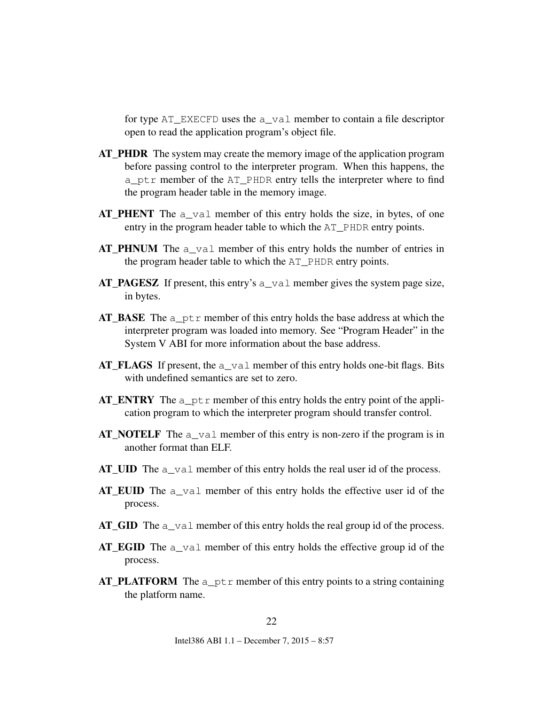for type AT\_EXECFD uses the a\_val member to contain a file descriptor open to read the application program's object file.

- AT\_PHDR The system may create the memory image of the application program before passing control to the interpreter program. When this happens, the a\_ptr member of the AT\_PHDR entry tells the interpreter where to find the program header table in the memory image.
- $AT$ **PHENT** The  $a$ <sup>-val</sup> member of this entry holds the size, in bytes, of one entry in the program header table to which the AT\_PHDR entry points.
- AT\_PHNUM The a\_val member of this entry holds the number of entries in the program header table to which the AT\_PHDR entry points.
- AT\_PAGESZ If present, this entry's  $a$ \_val member gives the system page size, in bytes.
- AT\_BASE The a\_ptr member of this entry holds the base address at which the interpreter program was loaded into memory. See "Program Header" in the System V ABI for more information about the base address.
- AT\_FLAGS If present, the a\_val member of this entry holds one-bit flags. Bits with undefined semantics are set to zero.
- AT\_ENTRY The  $a_{p}$ tr member of this entry holds the entry point of the application program to which the interpreter program should transfer control.
- **AT\_NOTELF** The  $a$ \_val member of this entry is non-zero if the program is in another format than ELF.
- AT\_UID The a\_val member of this entry holds the real user id of the process.
- AT EUID The a val member of this entry holds the effective user id of the process.
- AT GID The a val member of this entry holds the real group id of the process.
- AT\_EGID The a\_val member of this entry holds the effective group id of the process.
- AT\_PLATFORM The  $a$ \_ptr member of this entry points to a string containing the platform name.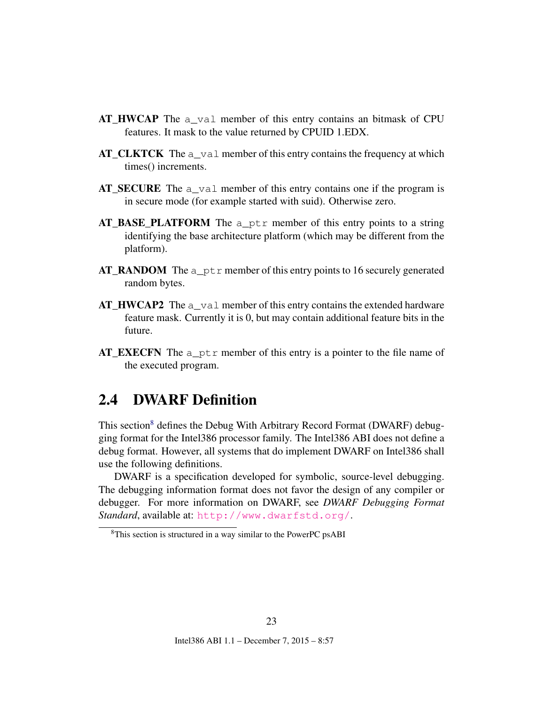- $AT$  HWCAP The  $a$  val member of this entry contains an bitmask of CPU features. It mask to the value returned by CPUID 1.EDX.
- AT\_CLKTCK The a\_val member of this entry contains the frequency at which times() increments.
- AT\_SECURE The  $a$ \_val member of this entry contains one if the program is in secure mode (for example started with suid). Otherwise zero.
- AT BASE PLATFORM The a ptr member of this entry points to a string identifying the base architecture platform (which may be different from the platform).
- AT\_RANDOM The a  $ptr$  member of this entry points to 16 securely generated random bytes.
- **AT\_HWCAP2** The a\_val member of this entry contains the extended hardware feature mask. Currently it is 0, but may contain additional feature bits in the future.
- $AT$ **EXECFN** The  $a$ <sub>P</sub>tr member of this entry is a pointer to the file name of the executed program.

## <span id="page-23-0"></span>2.4 DWARF Definition

This section<sup>[8](#page-23-1)</sup> defines the Debug With Arbitrary Record Format (DWARF) debugging format for the Intel386 processor family. The Intel386 ABI does not define a debug format. However, all systems that do implement DWARF on Intel386 shall use the following definitions.

DWARF is a specification developed for symbolic, source-level debugging. The debugging information format does not favor the design of any compiler or debugger. For more information on DWARF, see *DWARF Debugging Format Standard*, available at: <http://www.dwarfstd.org/>.

<span id="page-23-1"></span><sup>8</sup>This section is structured in a way similar to the PowerPC psABI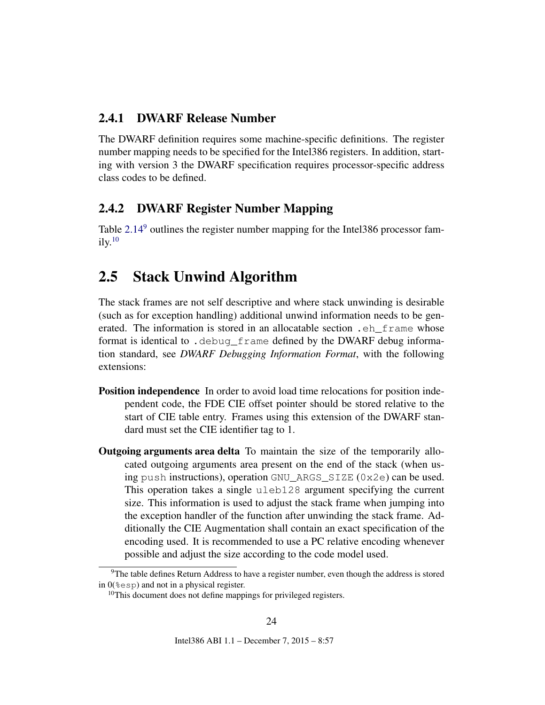### <span id="page-24-0"></span>2.4.1 DWARF Release Number

The DWARF definition requires some machine-specific definitions. The register number mapping needs to be specified for the Intel386 registers. In addition, starting with version 3 the DWARF specification requires processor-specific address class codes to be defined.

### <span id="page-24-1"></span>2.4.2 DWARF Register Number Mapping

Table [2.14](#page-25-0)<sup>[9](#page-24-3)</sup> outlines the register number mapping for the Intel386 processor fam- $ily.<sup>10</sup>$  $ily.<sup>10</sup>$  $ily.<sup>10</sup>$ 

## <span id="page-24-2"></span>2.5 Stack Unwind Algorithm

The stack frames are not self descriptive and where stack unwinding is desirable (such as for exception handling) additional unwind information needs to be generated. The information is stored in an allocatable section .eh\_frame whose format is identical to .debug\_frame defined by the DWARF debug information standard, see *DWARF Debugging Information Format*, with the following extensions:

- Position independence In order to avoid load time relocations for position independent code, the FDE CIE offset pointer should be stored relative to the start of CIE table entry. Frames using this extension of the DWARF standard must set the CIE identifier tag to 1.
- Outgoing arguments area delta To maintain the size of the temporarily allocated outgoing arguments area present on the end of the stack (when using push instructions), operation GNU\_ARGS\_SIZE (0x2e) can be used. This operation takes a single uleb128 argument specifying the current size. This information is used to adjust the stack frame when jumping into the exception handler of the function after unwinding the stack frame. Additionally the CIE Augmentation shall contain an exact specification of the encoding used. It is recommended to use a PC relative encoding whenever possible and adjust the size according to the code model used.

<span id="page-24-3"></span> $9$ The table defines Return Address to have a register number, even though the address is stored in  $0$ ( $\epsilon$ esp) and not in a physical register.

<span id="page-24-4"></span><sup>&</sup>lt;sup>10</sup>This document does not define mappings for privileged registers.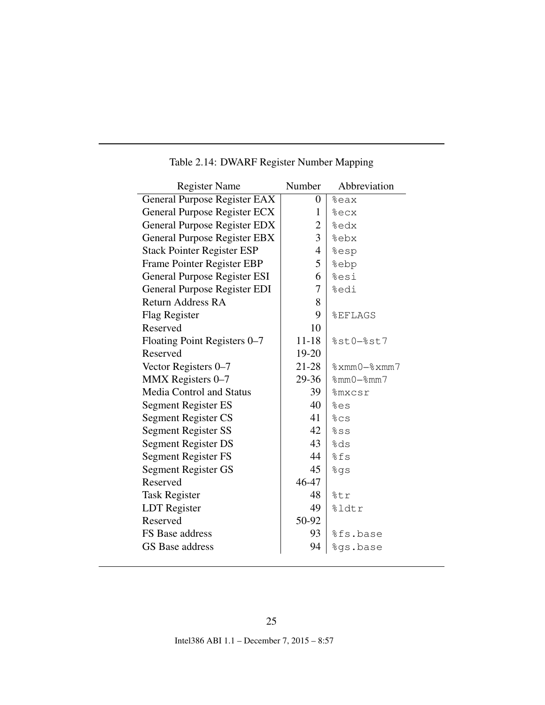| <b>Register Name</b>                | Number         | Abbreviation       |
|-------------------------------------|----------------|--------------------|
| General Purpose Register EAX        | $\overline{0}$ | %eax               |
| General Purpose Register ECX        | 1              | %ecx               |
| <b>General Purpose Register EDX</b> | 2              | %edx               |
| General Purpose Register EBX        | 3              | %ebx               |
| <b>Stack Pointer Register ESP</b>   | 4              | %esp               |
| Frame Pointer Register EBP          | 5              | %ebp               |
| General Purpose Register ESI        | 6              | %esi               |
| <b>General Purpose Register EDI</b> | 7              | %edi               |
| Return Address RA                   | 8              |                    |
| Flag Register                       | 9              | <b>&amp;EFLAGS</b> |
| Reserved                            | 10             |                    |
| Floating Point Registers 0–7        | $11 - 18$      | $%st0-%st7$        |
| Reserved                            | 19-20          |                    |
| Vector Registers 0–7                | $21 - 28$      | $% xmm0 - % xmm7$  |
| MMX Registers 0-7                   | 29-36          | $%mmO-%mm7$        |
| <b>Media Control and Status</b>     | 39             | <b>%mxcsr</b>      |
| <b>Segment Register ES</b>          | 40             | %es                |
| Segment Register CS                 | 41             | 8cs                |
| <b>Segment Register SS</b>          | 42             | 8s                 |
| Segment Register DS                 | 43             | %ds                |
| Segment Register FS                 | 44             | %fs                |
| Segment Register GS                 | 45             | %gs                |
| Reserved                            | 46-47          |                    |
| <b>Task Register</b>                | 48             | %tr                |
| LDT Register                        | 49             | %ldtr              |
| Reserved                            | 50-92          |                    |
| FS Base address                     | 93             | %fs.base           |
| GS Base address                     | 94             | %gs.base           |
|                                     |                |                    |

## <span id="page-25-0"></span>Table 2.14: DWARF Register Number Mapping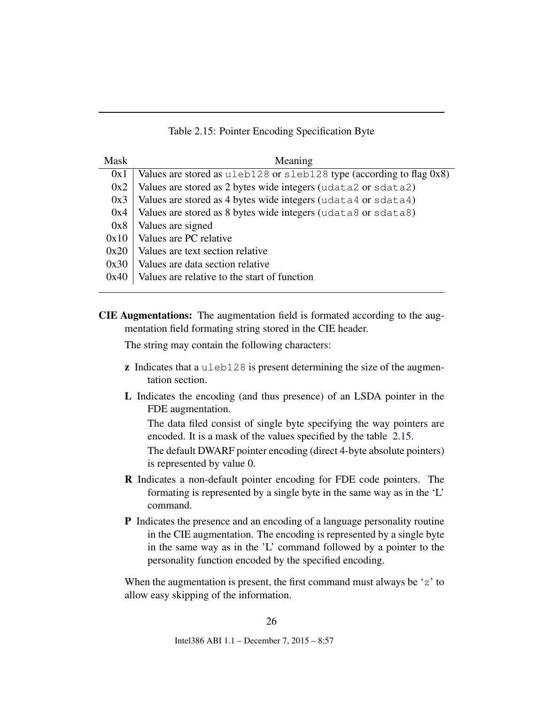<span id="page-26-0"></span>

|  |  |  | Table 2.15: Pointer Encoding Specification Byte |  |
|--|--|--|-------------------------------------------------|--|
|--|--|--|-------------------------------------------------|--|

| <b>Mask</b> | Meaning                                                                        |
|-------------|--------------------------------------------------------------------------------|
| 0x1         | Values are stored as $u \le b128$ or $s \le b128$ type (according to flag 0x8) |
| 0x2         | Values are stored as 2 bytes wide integers (udata2 or sdata2)                  |
| 0x3         | Values are stored as 4 bytes wide integers (udata4 or sdata4)                  |
| 0x4         | Values are stored as 8 bytes wide integers (udata8 or sdata8)                  |
| 0x8         | Values are signed                                                              |
| 0x10        | Values are PC relative                                                         |
| 0x20        | Values are text section relative                                               |
| 0x30        | Values are data section relative                                               |
| 0x40        | Values are relative to the start of function                                   |

CIE Augmentations: The augmentation field is formated according to the augmentation field formating string stored in the CIE header.

The string may contain the following characters:

- z Indicates that a uleb128 is present determining the size of the augmentation section.
- L Indicates the encoding (and thus presence) of an LSDA pointer in the FDE augmentation.

The data filed consist of single byte specifying the way pointers are encoded. It is a mask of the values specified by the table [2.15.](#page-26-0)

The default DWARF pointer encoding (direct 4-byte absolute pointers) is represented by value 0.

- R Indicates a non-default pointer encoding for FDE code pointers. The formating is represented by a single byte in the same way as in the 'L' command.
- P Indicates the presence and an encoding of a language personality routine in the CIE augmentation. The encoding is represented by a single byte in the same way as in the 'L' command followed by a pointer to the personality function encoded by the specified encoding.

When the augmentation is present, the first command must always be 'z' to allow easy skipping of the information.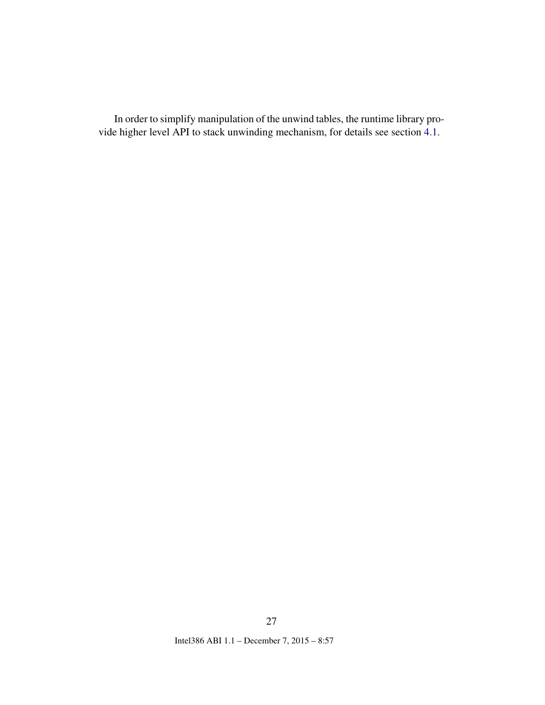In order to simplify manipulation of the unwind tables, the runtime library provide higher level API to stack unwinding mechanism, for details see section [4.1.](#page-39-1)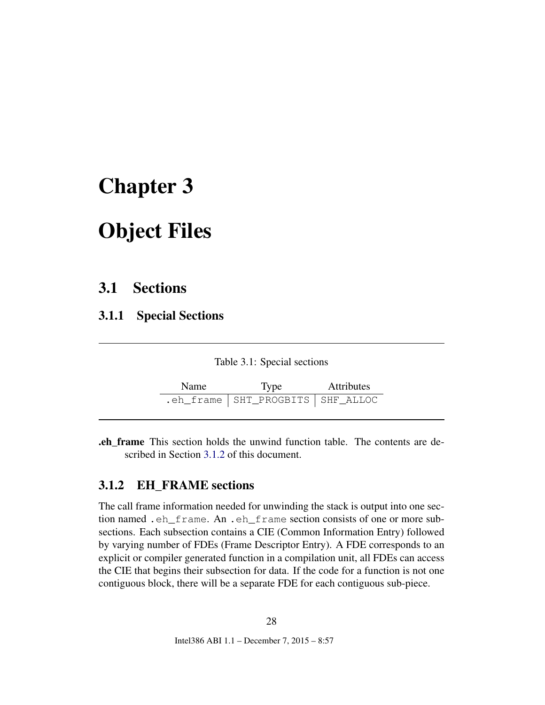# <span id="page-28-0"></span>Chapter 3

# Object Files

## <span id="page-28-1"></span>3.1 Sections

<span id="page-28-2"></span>3.1.1 Special Sections

<span id="page-28-4"></span>

| Table 3.1: Special sections |  |  |
|-----------------------------|--|--|
|-----------------------------|--|--|

| <b>Name</b> | <b>Type</b>                          | <b>Attributes</b> |  |
|-------------|--------------------------------------|-------------------|--|
|             | .eh_frame   SHT_PROGBITS   SHF_ALLOC |                   |  |

.eh\_frame This section holds the unwind function table. The contents are described in Section [3.1.2](#page-28-3) of this document.

### <span id="page-28-3"></span>3.1.2 EH\_FRAME sections

The call frame information needed for unwinding the stack is output into one section named .eh\_frame. An .eh\_frame section consists of one or more subsections. Each subsection contains a CIE (Common Information Entry) followed by varying number of FDEs (Frame Descriptor Entry). A FDE corresponds to an explicit or compiler generated function in a compilation unit, all FDEs can access the CIE that begins their subsection for data. If the code for a function is not one contiguous block, there will be a separate FDE for each contiguous sub-piece.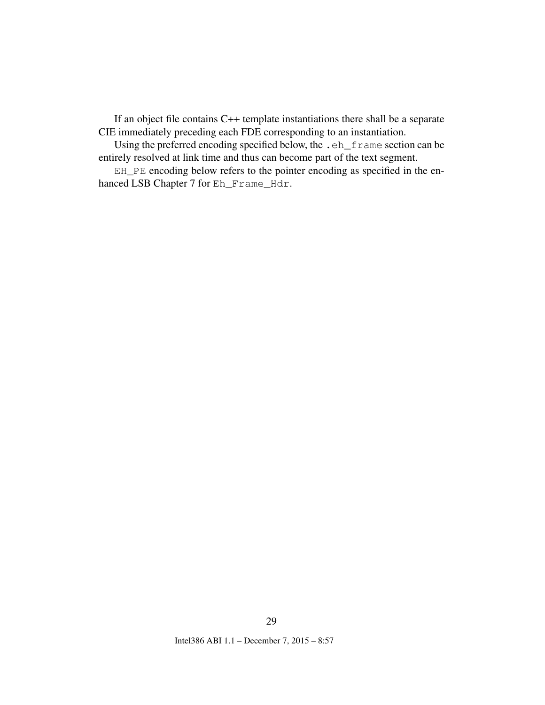If an object file contains C++ template instantiations there shall be a separate CIE immediately preceding each FDE corresponding to an instantiation.

Using the preferred encoding specified below, the .eh\_frame section can be entirely resolved at link time and thus can become part of the text segment.

EH\_PE encoding below refers to the pointer encoding as specified in the enhanced LSB Chapter 7 for Eh\_Frame\_Hdr.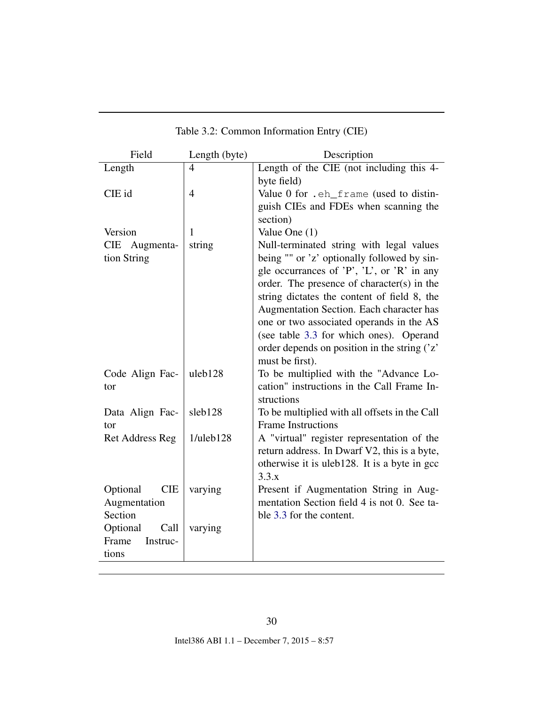| Field                  | Length (byte)   | Description                                        |
|------------------------|-----------------|----------------------------------------------------|
| Length                 | $\overline{4}$  | Length of the CIE (not including this 4-           |
|                        |                 | byte field)                                        |
| CIE id                 | 4               | Value 0 for .eh_frame (used to distin-             |
|                        |                 | guish CIEs and FDEs when scanning the              |
|                        |                 | section)                                           |
| Version                | 1               | Value One (1)                                      |
| CIE Augmenta-          | string          | Null-terminated string with legal values           |
| tion String            |                 | being "" or 'z' optionally followed by sin-        |
|                        |                 | gle occurrances of $'P'$ , $'L'$ , or $'R'$ in any |
|                        |                 | order. The presence of character(s) in the         |
|                        |                 | string dictates the content of field 8, the        |
|                        |                 | Augmentation Section. Each character has           |
|                        |                 | one or two associated operands in the AS           |
|                        |                 | (see table 3.3 for which ones). Operand            |
|                        |                 | order depends on position in the string ('z'       |
|                        |                 | must be first).                                    |
| Code Align Fac-        | uleb128         | To be multiplied with the "Advance Lo-             |
| tor                    |                 | cation" instructions in the Call Frame In-         |
|                        |                 | structions                                         |
| Data Align Fac-        | sleb128         | To be multiplied with all offsets in the Call      |
| tor                    |                 | <b>Frame Instructions</b>                          |
| <b>Ret Address Reg</b> | $1$ /uleb $128$ | A "virtual" register representation of the         |
|                        |                 | return address. In Dwarf V2, this is a byte,       |
|                        |                 | otherwise it is uleb128. It is a byte in gcc       |
|                        |                 | 3.3.x                                              |
| Optional<br><b>CIE</b> | varying         | Present if Augmentation String in Aug-             |
| Augmentation           |                 | mentation Section field 4 is not 0. See ta-        |
| Section                |                 | ble 3.3 for the content.                           |
| Optional<br>Call       | varying         |                                                    |
| Frame<br>Instruc-      |                 |                                                    |
| tions                  |                 |                                                    |

### <span id="page-30-0"></span>Table 3.2: Common Information Entry (CIE)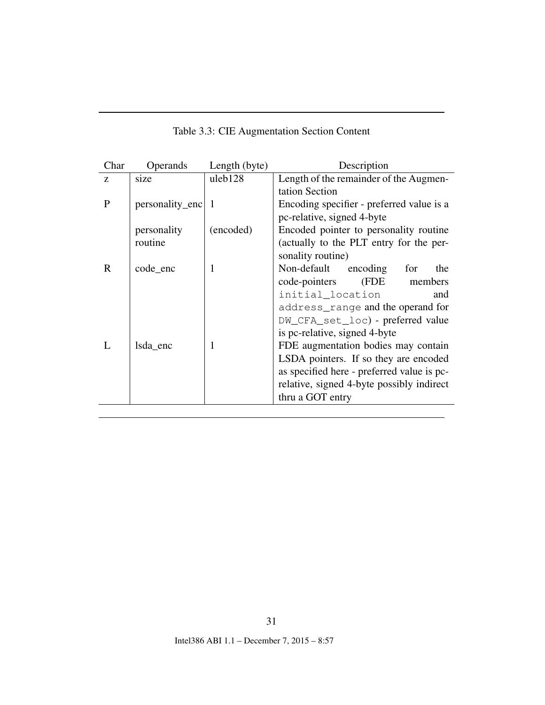| Char         | Operands        | Length (byte) | Description                                |
|--------------|-----------------|---------------|--------------------------------------------|
| Z            | size            | uleb128       | Length of the remainder of the Augmen-     |
|              |                 |               | tation Section                             |
| P            | personality_enc | $\mathbf{1}$  | Encoding specifier - preferred value is a  |
|              |                 |               | pc-relative, signed 4-byte                 |
|              | personality     | (encoded)     | Encoded pointer to personality routine     |
|              | routine         |               | (actually to the PLT entry for the per-    |
|              |                 |               | sonality routine)                          |
| $\mathbf{R}$ | code enc        | 1             | Non-default encoding<br>for<br>the         |
|              |                 |               | (FDE<br>code-pointers<br>members           |
|              |                 |               | initial_location<br>and                    |
|              |                 |               | address_range and the operand for          |
|              |                 |               | DW_CFA_set_loc) - preferred value          |
|              |                 |               | is pc-relative, signed 4-byte              |
|              | Isda enc        | 1             | FDE augmentation bodies may contain        |
|              |                 |               | LSDA pointers. If so they are encoded      |
|              |                 |               | as specified here - preferred value is pc- |
|              |                 |               | relative, signed 4-byte possibly indirect  |
|              |                 |               | thru a GOT entry                           |

<span id="page-31-0"></span>Table 3.3: CIE Augmentation Section Content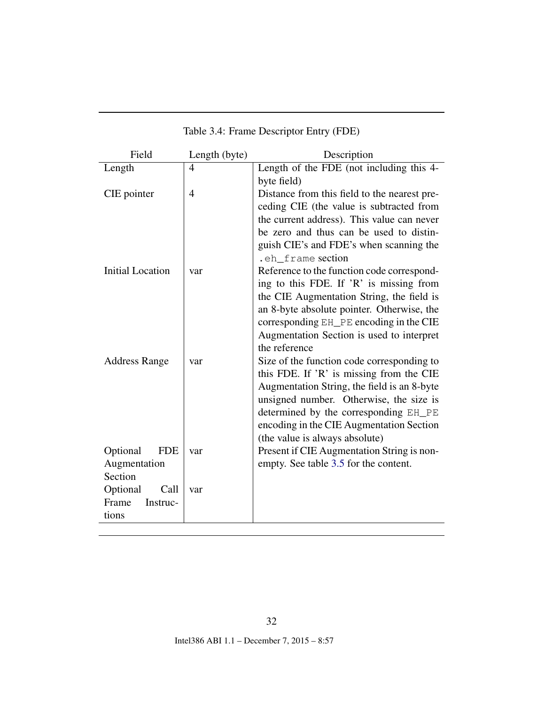| Field                   | Length (byte) | Description                                                |
|-------------------------|---------------|------------------------------------------------------------|
| Length                  | 4             | Length of the FDE (not including this 4-                   |
|                         |               | byte field)                                                |
| CIE pointer             | 4             | Distance from this field to the nearest pre-               |
|                         |               | ceding CIE (the value is subtracted from                   |
|                         |               | the current address). This value can never                 |
|                         |               | be zero and thus can be used to distin-                    |
|                         |               | guish CIE's and FDE's when scanning the                    |
|                         |               | .eh frame section                                          |
| <b>Initial Location</b> | var           | Reference to the function code correspond-                 |
|                         |               | ing to this FDE. If 'R' is missing from                    |
|                         |               | the CIE Augmentation String, the field is                  |
|                         |               | an 8-byte absolute pointer. Otherwise, the                 |
|                         |               | corresponding EH_PE encoding in the CIE                    |
|                         |               | Augmentation Section is used to interpret<br>the reference |
| <b>Address Range</b>    | var           | Size of the function code corresponding to                 |
|                         |               | this FDE. If 'R' is missing from the CIE                   |
|                         |               | Augmentation String, the field is an 8-byte                |
|                         |               | unsigned number. Otherwise, the size is                    |
|                         |               | determined by the corresponding EH_PE                      |
|                         |               | encoding in the CIE Augmentation Section                   |
|                         |               | (the value is always absolute)                             |
| Optional<br><b>FDE</b>  | var           | Present if CIE Augmentation String is non-                 |
| Augmentation            |               | empty. See table 3.5 for the content.                      |
| Section                 |               |                                                            |
| Optional<br>Call        | var           |                                                            |
| Frame<br>Instruc-       |               |                                                            |
| tions                   |               |                                                            |

### <span id="page-32-0"></span>Table 3.4: Frame Descriptor Entry (FDE)

32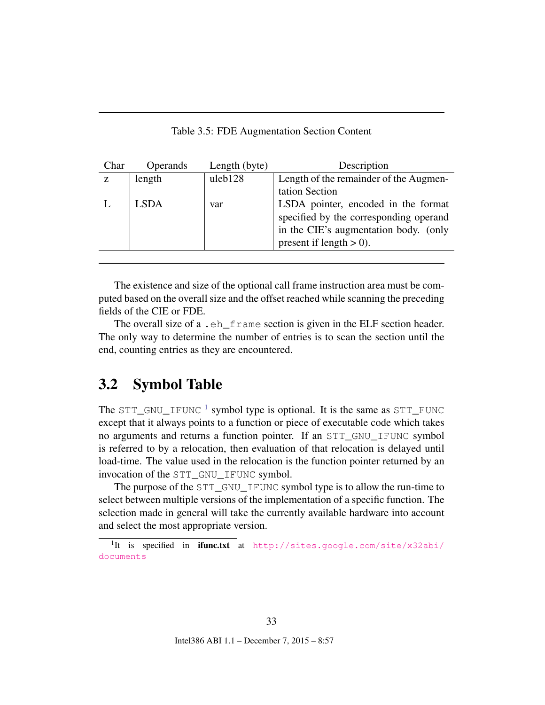<span id="page-33-1"></span>

| Table 3.5: FDE Augmentation Section Content |  |  |  |
|---------------------------------------------|--|--|--|
|---------------------------------------------|--|--|--|

| Char | <b>Operands</b> | Length (byte) | Description                            |
|------|-----------------|---------------|----------------------------------------|
| Z.   | length          | uleb128       | Length of the remainder of the Augmen- |
|      |                 |               | tation Section                         |
|      | <b>LSDA</b>     | var           | LSDA pointer, encoded in the format    |
|      |                 |               | specified by the corresponding operand |
|      |                 |               | in the CIE's augmentation body. (only  |
|      |                 |               | present if length $> 0$ ).             |
|      |                 |               |                                        |

The existence and size of the optional call frame instruction area must be computed based on the overall size and the offset reached while scanning the preceding fields of the CIE or FDE.

The overall size of a .eh\_frame section is given in the ELF section header. The only way to determine the number of entries is to scan the section until the end, counting entries as they are encountered.

### <span id="page-33-0"></span>3.2 Symbol Table

The  $STT_GNU\_IFUNC$ <sup>[1](#page-33-2)</sup> symbol type is optional. It is the same as  $STT_FUNC$ except that it always points to a function or piece of executable code which takes no arguments and returns a function pointer. If an STT\_GNU\_IFUNC symbol is referred to by a relocation, then evaluation of that relocation is delayed until load-time. The value used in the relocation is the function pointer returned by an invocation of the STT\_GNU\_IFUNC symbol.

The purpose of the STT\_GNU\_IFUNC symbol type is to allow the run-time to select between multiple versions of the implementation of a specific function. The selection made in general will take the currently available hardware into account and select the most appropriate version.

<span id="page-33-2"></span><sup>&</sup>lt;sup>1</sup>It is specified in ifunc.txt at [http://sites.google.com/site/x32abi/](http://sites.google.com/site/x32abi/documents) [documents](http://sites.google.com/site/x32abi/documents)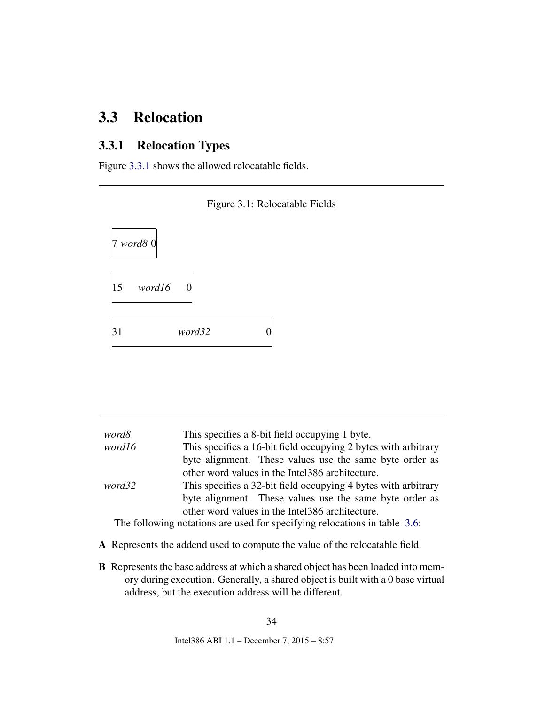## <span id="page-34-0"></span>3.3 Relocation

### <span id="page-34-1"></span>3.3.1 Relocation Types

Figure [3.3.1](#page-34-1) shows the allowed relocatable fields.



<span id="page-34-2"></span>

| word8                                                                     | This specifies a 8-bit field occupying 1 byte.                 |  |
|---------------------------------------------------------------------------|----------------------------------------------------------------|--|
| word16                                                                    | This specifies a 16-bit field occupying 2 bytes with arbitrary |  |
|                                                                           | byte alignment. These values use the same byte order as        |  |
|                                                                           | other word values in the Intel386 architecture.                |  |
| word32                                                                    | This specifies a 32-bit field occupying 4 bytes with arbitrary |  |
|                                                                           | byte alignment. These values use the same byte order as        |  |
|                                                                           | other word values in the Intel386 architecture.                |  |
| The following notations are used for specifying relocations in table 3.6: |                                                                |  |
|                                                                           |                                                                |  |

- A Represents the addend used to compute the value of the relocatable field.
- B Represents the base address at which a shared object has been loaded into memory during execution. Generally, a shared object is built with a 0 base virtual address, but the execution address will be different.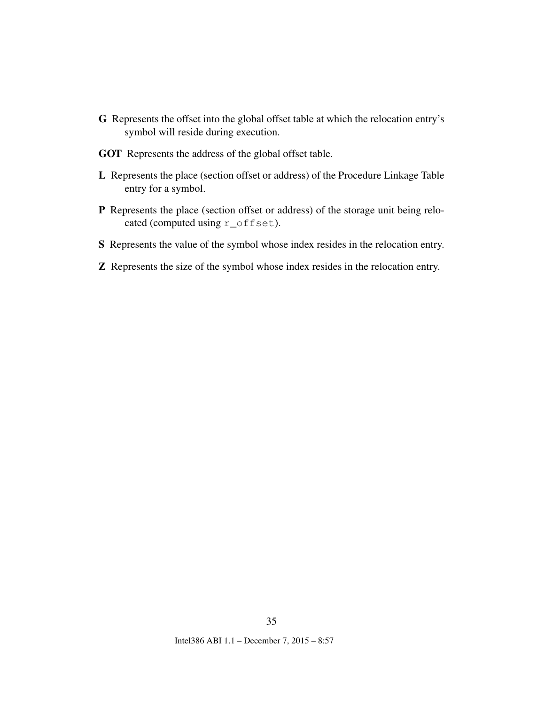- <span id="page-35-0"></span>G Represents the offset into the global offset table at which the relocation entry's symbol will reside during execution.
- GOT Represents the address of the global offset table.
- L Represents the place (section offset or address) of the Procedure Linkage Table entry for a symbol.
- P Represents the place (section offset or address) of the storage unit being relocated (computed using r\_offset).
- S Represents the value of the symbol whose index resides in the relocation entry.
- Z Represents the size of the symbol whose index resides in the relocation entry.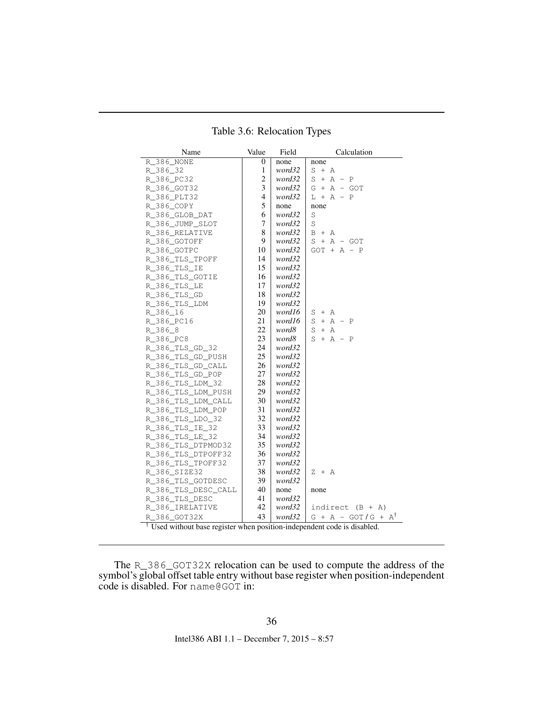| Name                                                                                | Value          | Field  | Calculation                   |
|-------------------------------------------------------------------------------------|----------------|--------|-------------------------------|
| R 386 NONE                                                                          | 0              | none   | none                          |
| R_386_32                                                                            | 1              | word32 | $S + A$                       |
| R_386_PC32                                                                          | $\overline{c}$ | word32 | $S + A - P$                   |
| R 386 GOT32                                                                         | 3              | word32 | $G + A - GOT$                 |
| R_386_PLT32                                                                         | 4              | word32 | $L + A - P$                   |
| R_386_COPY                                                                          | 5              | none   | none                          |
| R_386_GLOB_DAT                                                                      | 6              | word32 | $\rm S$                       |
| R_386_JUMP_SLOT                                                                     | 7              | word32 | S                             |
| R 386 RELATIVE                                                                      | 8              | word32 | $B + A$                       |
| R_386_GOTOFF                                                                        | 9              | word32 | $S + A - GOT$                 |
| R_386_GOTPC                                                                         | 10             | word32 | $GOT + A - P$                 |
| R_386_TLS_TPOFF                                                                     | 14             | word32 |                               |
| R 386 TLS IE                                                                        | 15             | word32 |                               |
| R 386 TLS GOTIE                                                                     | 16             | word32 |                               |
| R 386 TLS LE                                                                        | 17             | word32 |                               |
| R_386_TLS_GD                                                                        | 18             | word32 |                               |
| R_386_TLS_LDM                                                                       | 19             | word32 |                               |
| R 386 16                                                                            | 20             | word16 | $S + A$                       |
| R_386_PC16                                                                          | 21             | word16 | $S + A - P$                   |
| R 386 8                                                                             | 22             | word8  | S<br>$+ A$                    |
| R_386_PC8                                                                           | 23             | word8  | $S + A - P$                   |
| R 386 TLS GD 32                                                                     | 24             | word32 |                               |
| R_386_TLS_GD_PUSH                                                                   | 25             | word32 |                               |
| R 386 TLS GD CALL                                                                   | 26             | word32 |                               |
| R_386_TLS_GD_POP                                                                    | 27             | word32 |                               |
| R 386 TLS LDM 32                                                                    | 28             | word32 |                               |
| R_386_TLS_LDM_PUSH                                                                  | 29             | word32 |                               |
| R_386_TLS_LDM_CALL                                                                  | 30             | word32 |                               |
| R_386_TLS_LDM_POP                                                                   | 31             | word32 |                               |
| R_386_TLS_LDO_32                                                                    | 32             | word32 |                               |
| R 386 TLS IE 32                                                                     | 33             | word32 |                               |
| R_386_TLS_LE_32                                                                     | 34             | word32 |                               |
| R 386 TLS DTPMOD32                                                                  | 35             | word32 |                               |
| R_386_TLS_DTPOFF32                                                                  | 36             | word32 |                               |
| R_386_TLS_TPOFF32                                                                   | 37             | word32 |                               |
| R_386_SIZE32                                                                        | 38             | word32 | $Z + A$                       |
| R_386_TLS_GOTDESC                                                                   | 39             | word32 |                               |
| R_386_TLS_DESC_CALL                                                                 | 40             | none   | none                          |
| R_386_TLS_DESC                                                                      | 41             | word32 |                               |
| R 386 IRELATIVE                                                                     | 42             | word32 | indirect $(B + A)$            |
| R 386 GOT32X                                                                        | 43             | word32 | $G + A - GOT/G + A^{\dagger}$ |
| <sup>†</sup> Used without base register when position-independent code is disabled. |                |        |                               |

<span id="page-36-0"></span>Table 3.6: Relocation Types

The R\_386\_GOT32X relocation can be used to compute the address of the symbol's global offset table entry without base register when position-independent code is disabled. For name@GOT in: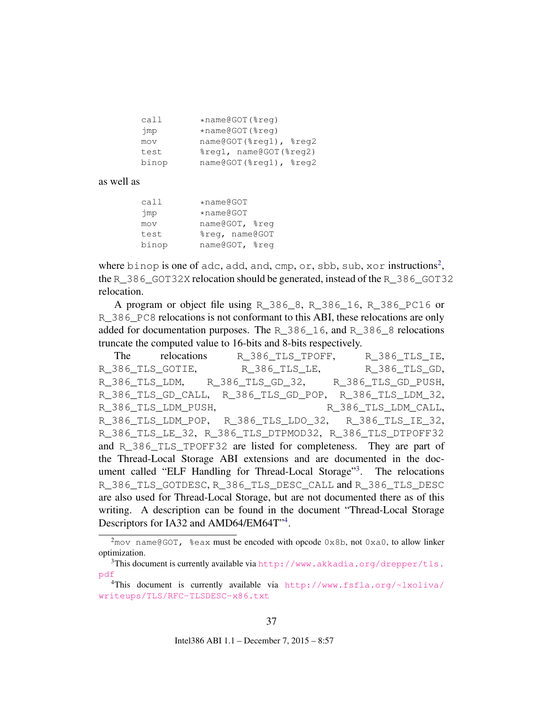<span id="page-37-3"></span>

| call  | $*$ name@GOT( $*$ req) |
|-------|------------------------|
| jmp   | $*$ name@GOT( $*$ req) |
| mov   | name@GOT(%reg1), %reg2 |
| test  | %req1, name@GOT(%req2) |
| binop | name@GOT(%reg1), %reg2 |

as well as

| call  | $*$ name@GOT   |  |
|-------|----------------|--|
| jmp   | $*$ name@GOT   |  |
| mov   | name@GOT, %req |  |
| test  | %reg, name@GOT |  |
| binop | name@GOT, %reg |  |

where binop is one of adc, add, and, cmp, or, sbb, sub, xor instructions<sup>[2](#page-37-0)</sup>, the R\_386\_GOT32X relocation should be generated, instead of the R\_386\_GOT32 relocation.

A program or object file using R\_386\_8, R\_386\_16, R\_386\_PC16 or R\_386\_PC8 relocations is not conformant to this ABI, these relocations are only added for documentation purposes. The R\_386\_16, and R\_386\_8 relocations truncate the computed value to 16-bits and 8-bits respectively.

The relocations R\_386\_TLS\_TPOFF, R\_386\_TLS\_IE, R\_386\_TLS\_GOTIE, R\_386\_TLS\_LE, R\_386\_TLS\_GD, R\_386\_TLS\_LDM, R\_386\_TLS\_GD\_32, R\_386\_TLS\_GD\_PUSH, R\_386\_TLS\_GD\_CALL, R\_386\_TLS\_GD\_POP, R\_386\_TLS\_LDM\_32, R\_386\_TLS\_LDM\_PUSH, R\_386\_TLS\_LDM\_CALL, R\_386\_TLS\_LDM\_POP, R\_386\_TLS\_LDO\_32, R\_386\_TLS\_IE\_32, R\_386\_TLS\_LE\_32, R\_386\_TLS\_DTPMOD32, R\_386\_TLS\_DTPOFF32 and R\_386\_TLS\_TPOFF32 are listed for completeness. They are part of the Thread-Local Storage ABI extensions and are documented in the doc-ument called "ELF Handling for Thread-Local Storage"<sup>[3](#page-37-1)</sup>. The relocations R\_386\_TLS\_GOTDESC, R\_386\_TLS\_DESC\_CALL and R\_386\_TLS\_DESC are also used for Thread-Local Storage, but are not documented there as of this writing. A description can be found in the document "Thread-Local Storage Descriptors for IA32 and AMD6[4](#page-37-2)/EM64T"<sup>4</sup>.

<span id="page-37-0"></span> $2$ mov name@GOT, %eax must be encoded with opcode 0x8b, not 0xa0, to allow linker optimization.

<span id="page-37-1"></span><sup>&</sup>lt;sup>3</sup>This document is currently available via [http://www.akkadia.org/drepper/tls.](http://www.akkadia.org/drepper/tls.pdf) [pdf](http://www.akkadia.org/drepper/tls.pdf)

<span id="page-37-2"></span><sup>4</sup>This document is currently available via [http://www.fsfla.org/~lxoliva/](http://www.fsfla.org/~lxoliva/writeups/TLS/RFC-TLSDESC-x86.txt) [writeups/TLS/RFC-TLSDESC-x86.txt](http://www.fsfla.org/~lxoliva/writeups/TLS/RFC-TLSDESC-x86.txt)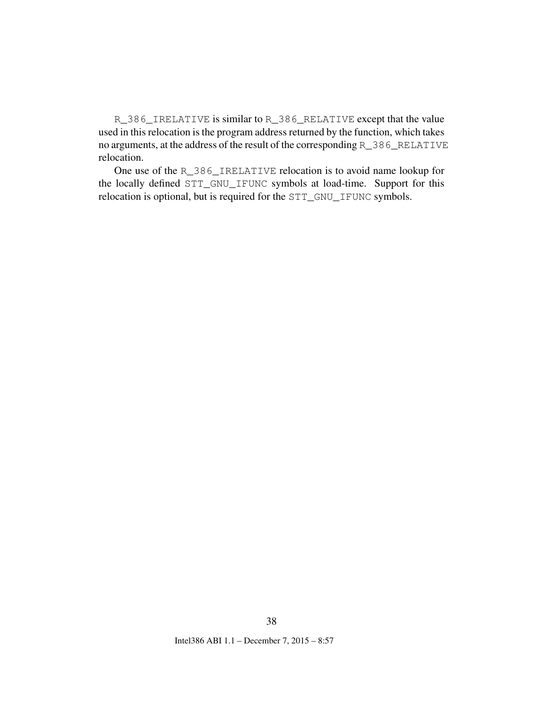R\_386\_IRELATIVE is similar to R\_386\_RELATIVE except that the value used in this relocation is the program address returned by the function, which takes no arguments, at the address of the result of the corresponding R\_386\_RELATIVE relocation.

One use of the R\_386\_IRELATIVE relocation is to avoid name lookup for the locally defined STT\_GNU\_IFUNC symbols at load-time. Support for this relocation is optional, but is required for the STT\_GNU\_IFUNC symbols.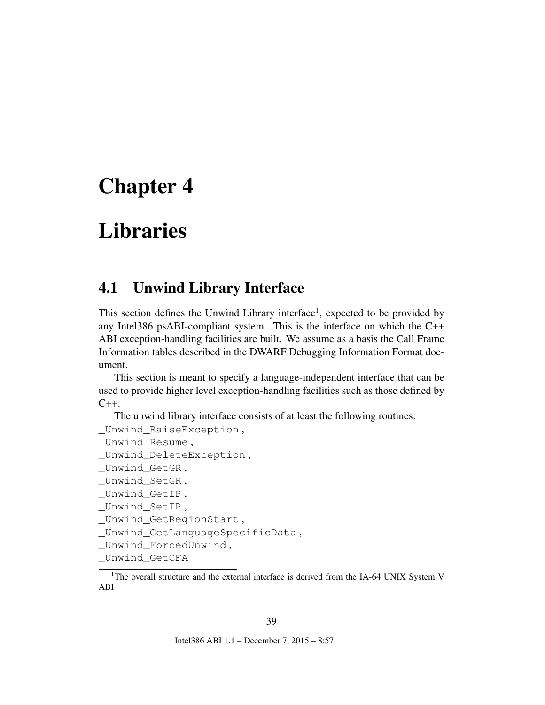# <span id="page-39-3"></span><span id="page-39-0"></span>Chapter 4

# Libraries

## <span id="page-39-1"></span>4.1 Unwind Library Interface

This section defines the Unwind Library interface<sup>[1](#page-39-2)</sup>, expected to be provided by any Intel386 psABI-compliant system. This is the interface on which the C++ ABI exception-handling facilities are built. We assume as a basis the Call Frame Information tables described in the DWARF Debugging Information Format document.

This section is meant to specify a language-independent interface that can be used to provide higher level exception-handling facilities such as those defined by  $C_{++}$ .

The unwind library interface consists of at least the following routines:

```
_Unwind_RaiseException ,
_Unwind_Resume ,
_Unwind_DeleteException ,
_Unwind_GetGR ,
Unwind SetGR,
_Unwind_GetIP ,
_Unwind_SetIP ,
_Unwind_GetRegionStart ,
_Unwind_GetLanguageSpecificData ,
_Unwind_ForcedUnwind ,
_Unwind_GetCFA
```
<span id="page-39-2"></span><sup>1</sup>The overall structure and the external interface is derived from the IA-64 UNIX System V ABI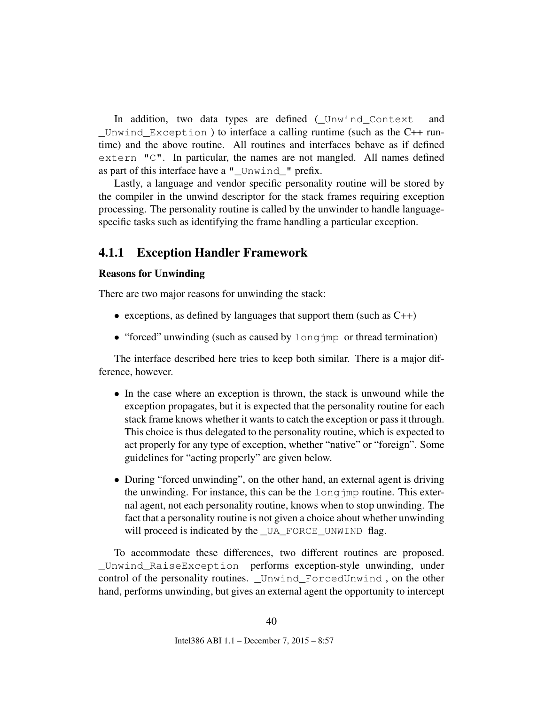<span id="page-40-1"></span>In addition, two data types are defined (\_Unwind\_Context and \_Unwind\_Exception ) to interface a calling runtime (such as the C++ runtime) and the above routine. All routines and interfaces behave as if defined extern "C". In particular, the names are not mangled. All names defined as part of this interface have a "\_Unwind\_" prefix.

Lastly, a language and vendor specific personality routine will be stored by the compiler in the unwind descriptor for the stack frames requiring exception processing. The personality routine is called by the unwinder to handle languagespecific tasks such as identifying the frame handling a particular exception.

#### <span id="page-40-0"></span>4.1.1 Exception Handler Framework

#### Reasons for Unwinding

There are two major reasons for unwinding the stack:

- exceptions, as defined by languages that support them (such as C++)
- "forced" unwinding (such as caused by long jmp or thread termination)

The interface described here tries to keep both similar. There is a major difference, however.

- In the case where an exception is thrown, the stack is unwound while the exception propagates, but it is expected that the personality routine for each stack frame knows whether it wants to catch the exception or pass it through. This choice is thus delegated to the personality routine, which is expected to act properly for any type of exception, whether "native" or "foreign". Some guidelines for "acting properly" are given below.
- During "forced unwinding", on the other hand, an external agent is driving the unwinding. For instance, this can be the longjmp routine. This external agent, not each personality routine, knows when to stop unwinding. The fact that a personality routine is not given a choice about whether unwinding will proceed is indicated by the \_UA\_FORCE\_UNWIND flag.

To accommodate these differences, two different routines are proposed. Unwind RaiseException performs exception-style unwinding, under control of the personality routines. \_Unwind\_ForcedUnwind , on the other hand, performs unwinding, but gives an external agent the opportunity to intercept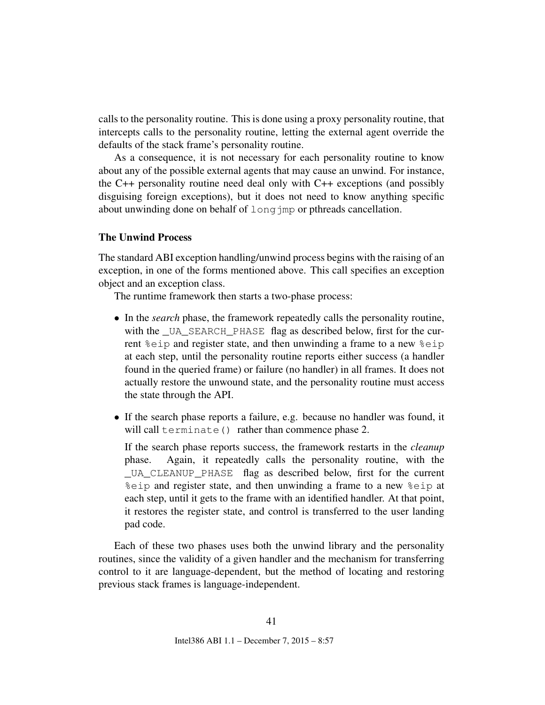<span id="page-41-0"></span>calls to the personality routine. This is done using a proxy personality routine, that intercepts calls to the personality routine, letting the external agent override the defaults of the stack frame's personality routine.

As a consequence, it is not necessary for each personality routine to know about any of the possible external agents that may cause an unwind. For instance, the C++ personality routine need deal only with C++ exceptions (and possibly disguising foreign exceptions), but it does not need to know anything specific about unwinding done on behalf of long imp or pthreads cancellation.

#### The Unwind Process

The standard ABI exception handling/unwind process begins with the raising of an exception, in one of the forms mentioned above. This call specifies an exception object and an exception class.

The runtime framework then starts a two-phase process:

- In the *search* phase, the framework repeatedly calls the personality routine, with the \_UA\_SEARCH\_PHASE flag as described below, first for the current %eip and register state, and then unwinding a frame to a new %eip at each step, until the personality routine reports either success (a handler found in the queried frame) or failure (no handler) in all frames. It does not actually restore the unwound state, and the personality routine must access the state through the API.
- If the search phase reports a failure, e.g. because no handler was found, it will call terminate() rather than commence phase 2.

If the search phase reports success, the framework restarts in the *cleanup* phase. Again, it repeatedly calls the personality routine, with the \_UA\_CLEANUP\_PHASE flag as described below, first for the current %eip and register state, and then unwinding a frame to a new %eip at each step, until it gets to the frame with an identified handler. At that point, it restores the register state, and control is transferred to the user landing pad code.

Each of these two phases uses both the unwind library and the personality routines, since the validity of a given handler and the mechanism for transferring control to it are language-dependent, but the method of locating and restoring previous stack frames is language-independent.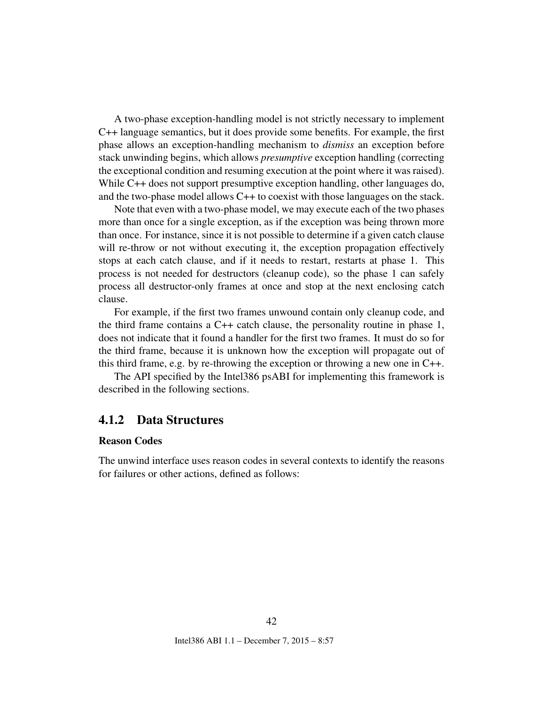A two-phase exception-handling model is not strictly necessary to implement C++ language semantics, but it does provide some benefits. For example, the first phase allows an exception-handling mechanism to *dismiss* an exception before stack unwinding begins, which allows *presumptive* exception handling (correcting the exceptional condition and resuming execution at the point where it was raised). While C++ does not support presumptive exception handling, other languages do, and the two-phase model allows C++ to coexist with those languages on the stack.

Note that even with a two-phase model, we may execute each of the two phases more than once for a single exception, as if the exception was being thrown more than once. For instance, since it is not possible to determine if a given catch clause will re-throw or not without executing it, the exception propagation effectively stops at each catch clause, and if it needs to restart, restarts at phase 1. This process is not needed for destructors (cleanup code), so the phase 1 can safely process all destructor-only frames at once and stop at the next enclosing catch clause.

For example, if the first two frames unwound contain only cleanup code, and the third frame contains a  $C++$  catch clause, the personality routine in phase 1, does not indicate that it found a handler for the first two frames. It must do so for the third frame, because it is unknown how the exception will propagate out of this third frame, e.g. by re-throwing the exception or throwing a new one in  $C_{++}$ .

The API specified by the Intel386 psABI for implementing this framework is described in the following sections.

#### <span id="page-42-0"></span>4.1.2 Data Structures

#### Reason Codes

The unwind interface uses reason codes in several contexts to identify the reasons for failures or other actions, defined as follows:

42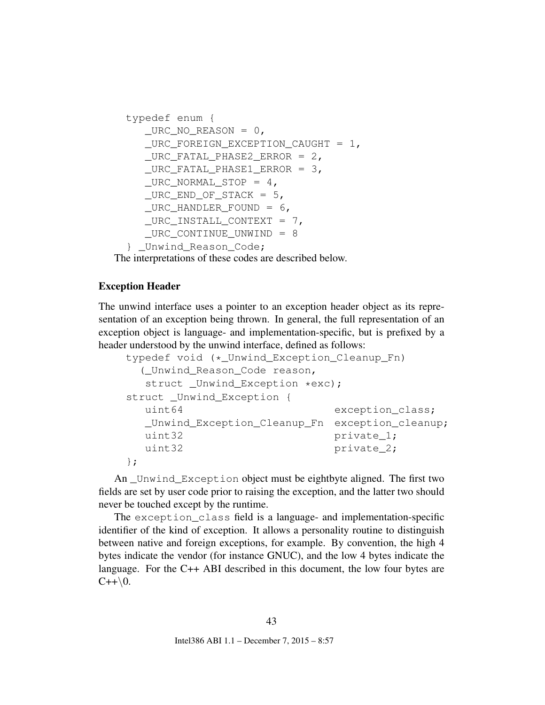```
typedef enum {
  _URC_NO_REASON = 0,_URC_FOREIGN_EXCEPTION_CAUGHT = 1,
  _URC_FATAL_PHASE2_ERROR = 2,_URC_FATAL_PHASE1_FRROR = 3,_URC_NORMAL_STOP = 4,_URC\_END\_OF\_STACK = 5,_URC_HANDLER_FOUND = 6,_URC_INSTALL_CONTEXT = 7,_URC_CONTINUE_UNWIND = 8
} _Unwind_Reason_Code;
```
The interpretations of these codes are described below.

#### Exception Header

The unwind interface uses a pointer to an exception header object as its representation of an exception being thrown. In general, the full representation of an exception object is language- and implementation-specific, but is prefixed by a header understood by the unwind interface, defined as follows:

```
typedef void (*_Unwind_Exception_Cleanup_Fn)
 (_Unwind_Reason_Code reason,
  struct _Unwind_Exception *exc);
struct _Unwind_Exception {
  uint64 exception_class;
  _Unwind_Exception_Cleanup_Fn exception_cleanup;
  uint32 private_1;
  uint32 private_2;
};
```
An \_Unwind\_Exception object must be eightbyte aligned. The first two fields are set by user code prior to raising the exception, and the latter two should never be touched except by the runtime.

The exception\_class field is a language- and implementation-specific identifier of the kind of exception. It allows a personality routine to distinguish between native and foreign exceptions, for example. By convention, the high 4 bytes indicate the vendor (for instance GNUC), and the low 4 bytes indicate the language. For the C++ ABI described in this document, the low four bytes are  $C++\backslash 0.$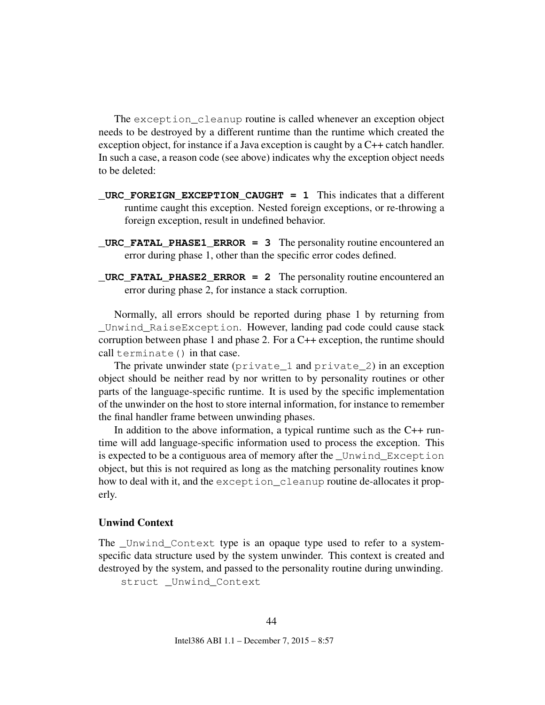The exception\_cleanup routine is called whenever an exception object needs to be destroyed by a different runtime than the runtime which created the exception object, for instance if a Java exception is caught by a C++ catch handler. In such a case, a reason code (see above) indicates why the exception object needs to be deleted:

- **\_URC\_FOREIGN\_EXCEPTION\_CAUGHT = 1** This indicates that a different runtime caught this exception. Nested foreign exceptions, or re-throwing a foreign exception, result in undefined behavior.
- **\_URC\_FATAL\_PHASE1\_ERROR = 3** The personality routine encountered an error during phase 1, other than the specific error codes defined.
- **URC\_FATAL\_PHASE2\_ERROR = 2** The personality routine encountered an error during phase 2, for instance a stack corruption.

Normally, all errors should be reported during phase 1 by returning from \_Unwind\_RaiseException. However, landing pad code could cause stack corruption between phase 1 and phase 2. For a  $C++$  exception, the runtime should call terminate() in that case.

The private unwinder state (private\_1 and private\_2) in an exception object should be neither read by nor written to by personality routines or other parts of the language-specific runtime. It is used by the specific implementation of the unwinder on the host to store internal information, for instance to remember the final handler frame between unwinding phases.

In addition to the above information, a typical runtime such as the C++ runtime will add language-specific information used to process the exception. This is expected to be a contiguous area of memory after the Unwind Exception object, but this is not required as long as the matching personality routines know how to deal with it, and the exception\_cleanup routine de-allocates it properly.

#### Unwind Context

The \_Unwind\_Context type is an opaque type used to refer to a systemspecific data structure used by the system unwinder. This context is created and destroyed by the system, and passed to the personality routine during unwinding.

struct \_Unwind\_Context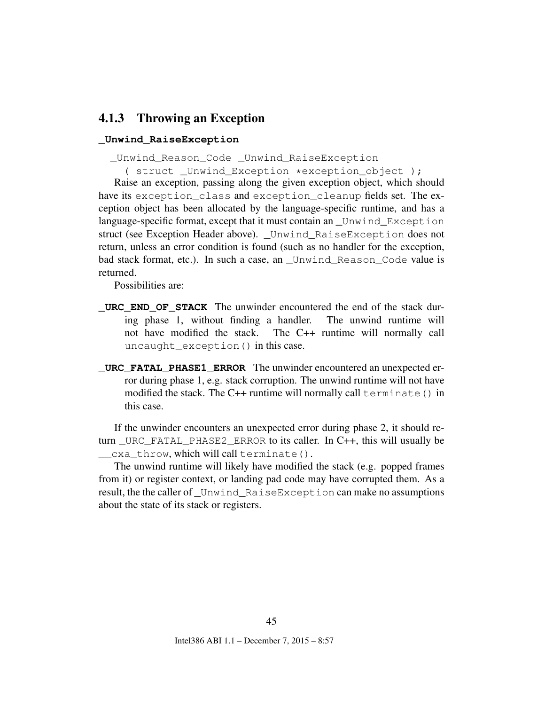### <span id="page-45-0"></span>4.1.3 Throwing an Exception

#### **\_Unwind\_RaiseException**

\_Unwind\_Reason\_Code \_Unwind\_RaiseException

( struct \_Unwind\_Exception \*exception\_object );

Raise an exception, passing along the given exception object, which should have its exception\_class and exception\_cleanup fields set. The exception object has been allocated by the language-specific runtime, and has a language-specific format, except that it must contain an \_Unwind\_Exception struct (see Exception Header above). \_Unwind\_RaiseException does not return, unless an error condition is found (such as no handler for the exception, bad stack format, etc.). In such a case, an \_Unwind\_Reason\_Code value is returned.

Possibilities are:

- **URC END OF STACK** The unwinder encountered the end of the stack during phase 1, without finding a handler. The unwind runtime will not have modified the stack. The C++ runtime will normally call uncaught exception() in this case.
- **\_URC\_FATAL\_PHASE1\_ERROR** The unwinder encountered an unexpected error during phase 1, e.g. stack corruption. The unwind runtime will not have modified the stack. The C++ runtime will normally call terminate() in this case.

If the unwinder encounters an unexpected error during phase 2, it should return \_URC\_FATAL\_PHASE2\_ERROR to its caller. In C++, this will usually be \_\_cxa\_throw, which will call terminate().

The unwind runtime will likely have modified the stack (e.g. popped frames from it) or register context, or landing pad code may have corrupted them. As a result, the the caller of \_Unwind\_RaiseException can make no assumptions about the state of its stack or registers.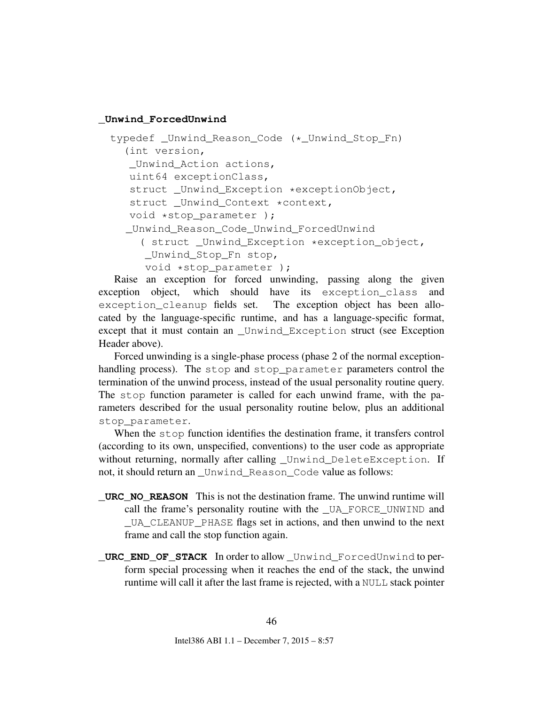#### **\_Unwind\_ForcedUnwind**

```
typedef Unwind Reason Code (* Unwind Stop Fn)
  (int version,
  Unwind Action actions,
  uint64 exceptionClass,
   struct _Unwind_Exception *exceptionObject,
   struct _Unwind_Context *context,
  void *stop_parameter );
  _Unwind_Reason_Code_Unwind_ForcedUnwind
    ( struct _Unwind_Exception *exception_object,
     _Unwind_Stop_Fn stop,
     void *stop parameter );
```
Raise an exception for forced unwinding, passing along the given exception object, which should have its exception\_class and exception cleanup fields set. The exception object has been allocated by the language-specific runtime, and has a language-specific format, except that it must contain an \_Unwind\_Exception struct (see Exception Header above).

Forced unwinding is a single-phase process (phase 2 of the normal exceptionhandling process). The stop and stop\_parameter parameters control the termination of the unwind process, instead of the usual personality routine query. The stop function parameter is called for each unwind frame, with the parameters described for the usual personality routine below, plus an additional stop\_parameter.

When the stop function identifies the destination frame, it transfers control (according to its own, unspecified, conventions) to the user code as appropriate without returning, normally after calling \_Unwind\_DeleteException. If not, it should return an Unwind Reason Code value as follows:

- **\_URC\_NO\_REASON** This is not the destination frame. The unwind runtime will call the frame's personality routine with the \_UA\_FORCE\_UNWIND and \_UA\_CLEANUP\_PHASE flags set in actions, and then unwind to the next frame and call the stop function again.
- **\_URC\_END\_OF\_STACK** In order to allow \_Unwind\_ForcedUnwind to perform special processing when it reaches the end of the stack, the unwind runtime will call it after the last frame is rejected, with a NULL stack pointer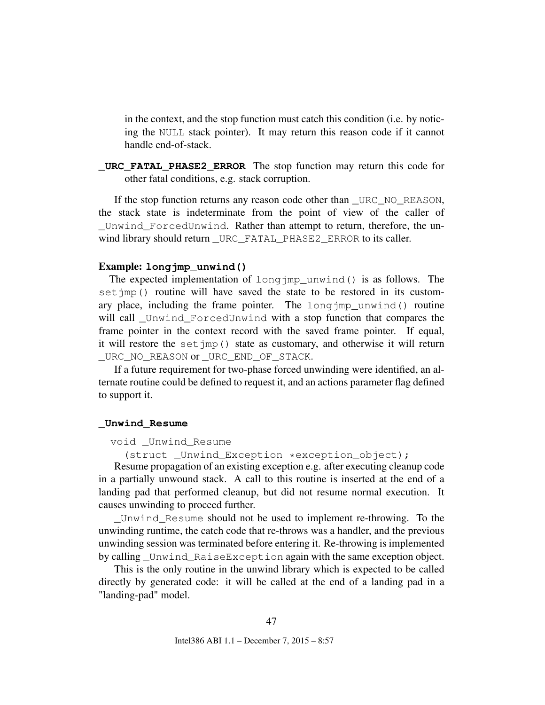in the context, and the stop function must catch this condition (i.e. by noticing the NULL stack pointer). It may return this reason code if it cannot handle end-of-stack.

**\_URC\_FATAL\_PHASE2\_ERROR** The stop function may return this code for other fatal conditions, e.g. stack corruption.

If the stop function returns any reason code other than \_URC\_NO\_REASON, the stack state is indeterminate from the point of view of the caller of Unwind ForcedUnwind. Rather than attempt to return, therefore, the unwind library should return \_URC\_FATAL\_PHASE2\_ERROR to its caller.

#### Example: **longjmp\_unwind()**

The expected implementation of longjmp\_unwind() is as follows. The set jmp() routine will have saved the state to be restored in its customary place, including the frame pointer. The longjmp\_unwind() routine will call \_Unwind\_ForcedUnwind with a stop function that compares the frame pointer in the context record with the saved frame pointer. If equal, it will restore the set  $\text{imp}(t)$  state as customary, and otherwise it will return \_URC\_NO\_REASON or \_URC\_END\_OF\_STACK.

If a future requirement for two-phase forced unwinding were identified, an alternate routine could be defined to request it, and an actions parameter flag defined to support it.

#### **\_Unwind\_Resume**

#### void \_Unwind\_Resume

(struct Unwind Exception \*exception object);

Resume propagation of an existing exception e.g. after executing cleanup code in a partially unwound stack. A call to this routine is inserted at the end of a landing pad that performed cleanup, but did not resume normal execution. It causes unwinding to proceed further.

\_Unwind\_Resume should not be used to implement re-throwing. To the unwinding runtime, the catch code that re-throws was a handler, and the previous unwinding session was terminated before entering it. Re-throwing is implemented by calling \_Unwind\_RaiseException again with the same exception object.

This is the only routine in the unwind library which is expected to be called directly by generated code: it will be called at the end of a landing pad in a "landing-pad" model.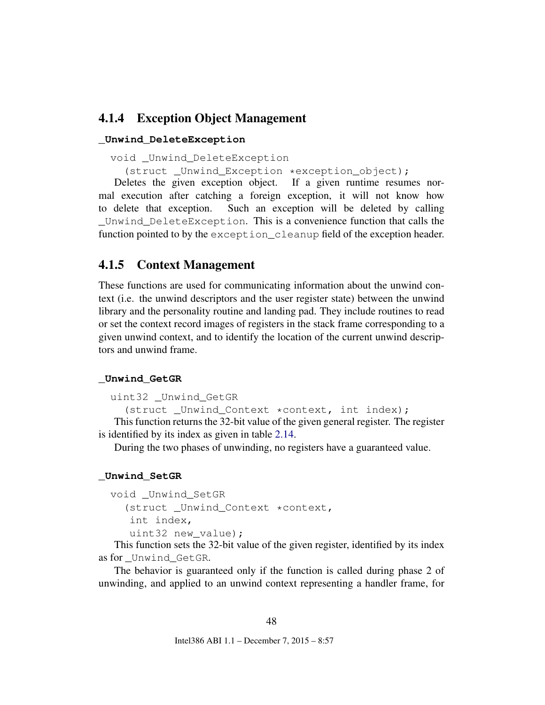### <span id="page-48-0"></span>4.1.4 Exception Object Management

#### **\_Unwind\_DeleteException**

```
void _Unwind_DeleteException
```
(struct \_Unwind\_Exception \*exception\_object);

Deletes the given exception object. If a given runtime resumes normal execution after catching a foreign exception, it will not know how to delete that exception. Such an exception will be deleted by calling \_Unwind\_DeleteException. This is a convenience function that calls the function pointed to by the exception\_cleanup field of the exception header.

### <span id="page-48-1"></span>4.1.5 Context Management

These functions are used for communicating information about the unwind context (i.e. the unwind descriptors and the user register state) between the unwind library and the personality routine and landing pad. They include routines to read or set the context record images of registers in the stack frame corresponding to a given unwind context, and to identify the location of the current unwind descriptors and unwind frame.

#### **\_Unwind\_GetGR**

```
uint32 _Unwind_GetGR
```
(struct Unwind Context \*context, int index);

This function returns the 32-bit value of the given general register. The register is identified by its index as given in table [2.14.](#page-25-0)

During the two phases of unwinding, no registers have a guaranteed value.

#### **\_Unwind\_SetGR**

```
void _Unwind_SetGR
  (struct _Unwind_Context *context,
   int index,
   uint32 new_value);
```
This function sets the 32-bit value of the given register, identified by its index as for \_Unwind\_GetGR.

The behavior is guaranteed only if the function is called during phase 2 of unwinding, and applied to an unwind context representing a handler frame, for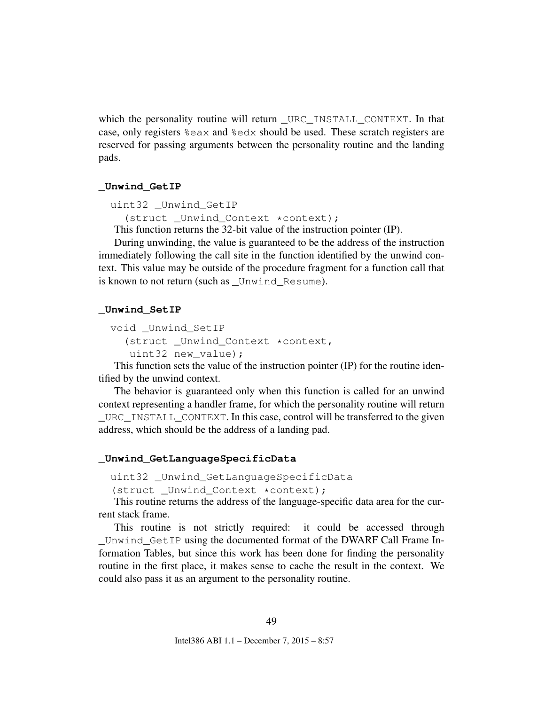which the personality routine will return \_URC\_INSTALL\_CONTEXT. In that case, only registers %eax and %edx should be used. These scratch registers are reserved for passing arguments between the personality routine and the landing pads.

#### **\_Unwind\_GetIP**

```
uint32 _Unwind_GetIP
```

```
(struct Unwind Context *context);
```
This function returns the 32-bit value of the instruction pointer (IP).

During unwinding, the value is guaranteed to be the address of the instruction immediately following the call site in the function identified by the unwind context. This value may be outside of the procedure fragment for a function call that is known to not return (such as Unwind Resume).

#### **\_Unwind\_SetIP**

```
void _Unwind_SetIP
  (struct _Unwind_Context *context,
   uint32 new value);
```
This function sets the value of the instruction pointer (IP) for the routine identified by the unwind context.

The behavior is guaranteed only when this function is called for an unwind context representing a handler frame, for which the personality routine will return URC INSTALL CONTEXT. In this case, control will be transferred to the given address, which should be the address of a landing pad.

#### **\_Unwind\_GetLanguageSpecificData**

```
uint32 _Unwind_GetLanguageSpecificData
```
(struct \_Unwind\_Context \*context);

This routine returns the address of the language-specific data area for the current stack frame.

This routine is not strictly required: it could be accessed through \_Unwind\_GetIP using the documented format of the DWARF Call Frame Information Tables, but since this work has been done for finding the personality routine in the first place, it makes sense to cache the result in the context. We could also pass it as an argument to the personality routine.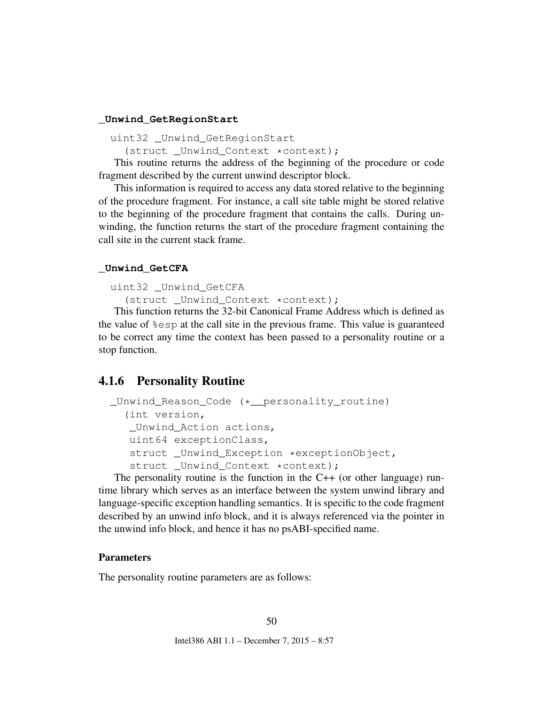#### **\_Unwind\_GetRegionStart**

```
uint32 Unwind GetRegionStart
```
(struct \_Unwind\_Context \*context);

This routine returns the address of the beginning of the procedure or code fragment described by the current unwind descriptor block.

This information is required to access any data stored relative to the beginning of the procedure fragment. For instance, a call site table might be stored relative to the beginning of the procedure fragment that contains the calls. During unwinding, the function returns the start of the procedure fragment containing the call site in the current stack frame.

#### **\_Unwind\_GetCFA**

```
uint32 _Unwind_GetCFA
```
(struct \_Unwind\_Context \*context);

This function returns the 32-bit Canonical Frame Address which is defined as the value of %esp at the call site in the previous frame. This value is guaranteed to be correct any time the context has been passed to a personality routine or a stop function.

### <span id="page-50-0"></span>4.1.6 Personality Routine

```
_Unwind_Reason_Code (*__personality_routine)
  (int version,
   _Unwind_Action actions,
   uint64 exceptionClass,
   struct Unwind Exception *exceptionObject,
   struct _Unwind_Context *context);
```
The personality routine is the function in the  $C++$  (or other language) runtime library which serves as an interface between the system unwind library and language-specific exception handling semantics. It is specific to the code fragment described by an unwind info block, and it is always referenced via the pointer in the unwind info block, and hence it has no psABI-specified name.

#### **Parameters**

The personality routine parameters are as follows: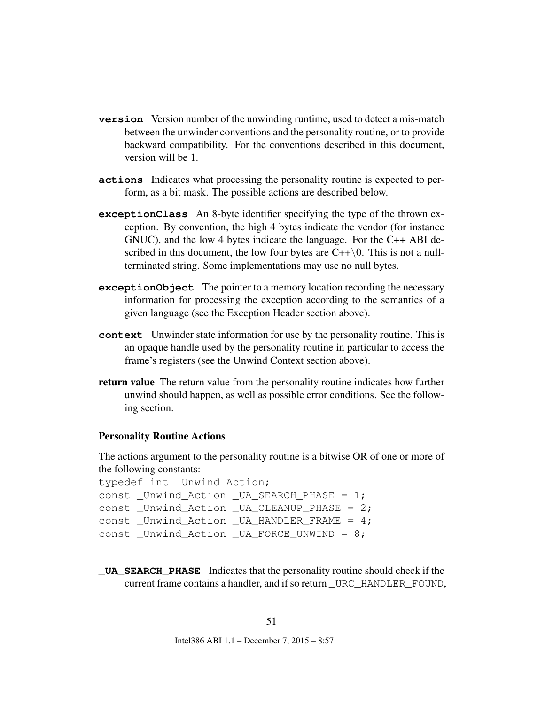- **version** Version number of the unwinding runtime, used to detect a mis-match between the unwinder conventions and the personality routine, or to provide backward compatibility. For the conventions described in this document, version will be 1.
- **actions** Indicates what processing the personality routine is expected to perform, as a bit mask. The possible actions are described below.
- **exceptionClass** An 8-byte identifier specifying the type of the thrown exception. By convention, the high 4 bytes indicate the vendor (for instance GNUC), and the low 4 bytes indicate the language. For the C++ ABI described in this document, the low four bytes are  $C++\setminus 0$ . This is not a nullterminated string. Some implementations may use no null bytes.
- **exceptionObject** The pointer to a memory location recording the necessary information for processing the exception according to the semantics of a given language (see the Exception Header section above).
- **context** Unwinder state information for use by the personality routine. This is an opaque handle used by the personality routine in particular to access the frame's registers (see the Unwind Context section above).
- return value The return value from the personality routine indicates how further unwind should happen, as well as possible error conditions. See the following section.

#### Personality Routine Actions

The actions argument to the personality routine is a bitwise OR of one or more of the following constants:

```
typedef int _Unwind_Action;
const _Unwind_Action _UA_SEARCH_PHASE = 1;
const _Unwind_Action _UA_CLEANUP_PHASE = 2;
const Unwind Action UA HANDLER FRAME = 4;const _Unwind_Action _UA_FORCE_UNWIND = 8;
```
**\_UA\_SEARCH\_PHASE** Indicates that the personality routine should check if the current frame contains a handler, and if so return URC\_HANDLER\_FOUND,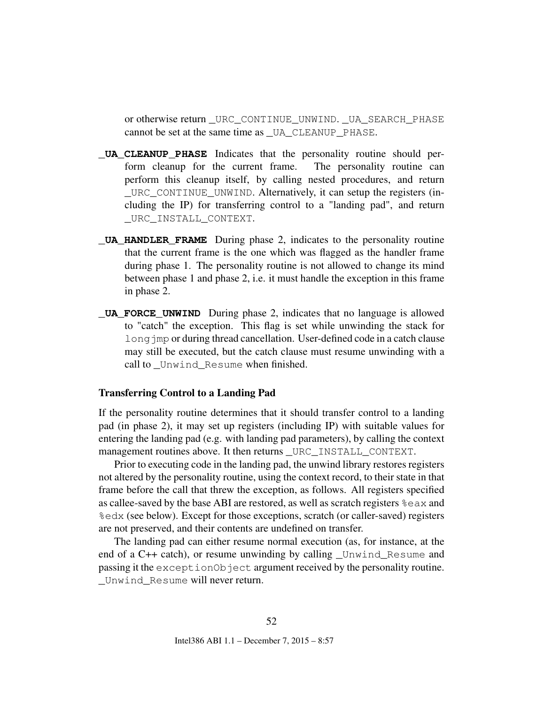or otherwise return \_URC\_CONTINUE\_UNWIND. \_UA\_SEARCH\_PHASE cannot be set at the same time as \_UA\_CLEANUP\_PHASE.

- **\_UA\_CLEANUP\_PHASE** Indicates that the personality routine should perform cleanup for the current frame. The personality routine can perform this cleanup itself, by calling nested procedures, and return \_URC\_CONTINUE\_UNWIND. Alternatively, it can setup the registers (including the IP) for transferring control to a "landing pad", and return \_URC\_INSTALL\_CONTEXT.
- **\_UA\_HANDLER\_FRAME** During phase 2, indicates to the personality routine that the current frame is the one which was flagged as the handler frame during phase 1. The personality routine is not allowed to change its mind between phase 1 and phase 2, i.e. it must handle the exception in this frame in phase 2.
- **\_UA\_FORCE\_UNWIND** During phase 2, indicates that no language is allowed to "catch" the exception. This flag is set while unwinding the stack for long imp or during thread cancellation. User-defined code in a catch clause may still be executed, but the catch clause must resume unwinding with a call to Unwind Resume when finished.

#### Transferring Control to a Landing Pad

If the personality routine determines that it should transfer control to a landing pad (in phase 2), it may set up registers (including IP) with suitable values for entering the landing pad (e.g. with landing pad parameters), by calling the context management routines above. It then returns \_URC\_INSTALL\_CONTEXT.

Prior to executing code in the landing pad, the unwind library restores registers not altered by the personality routine, using the context record, to their state in that frame before the call that threw the exception, as follows. All registers specified as callee-saved by the base ABI are restored, as well as scratch registers %eax and %edx (see below). Except for those exceptions, scratch (or caller-saved) registers are not preserved, and their contents are undefined on transfer.

The landing pad can either resume normal execution (as, for instance, at the end of a C++ catch), or resume unwinding by calling Unwind Resume and passing it the exceptionObject argument received by the personality routine. Unwind Resume will never return.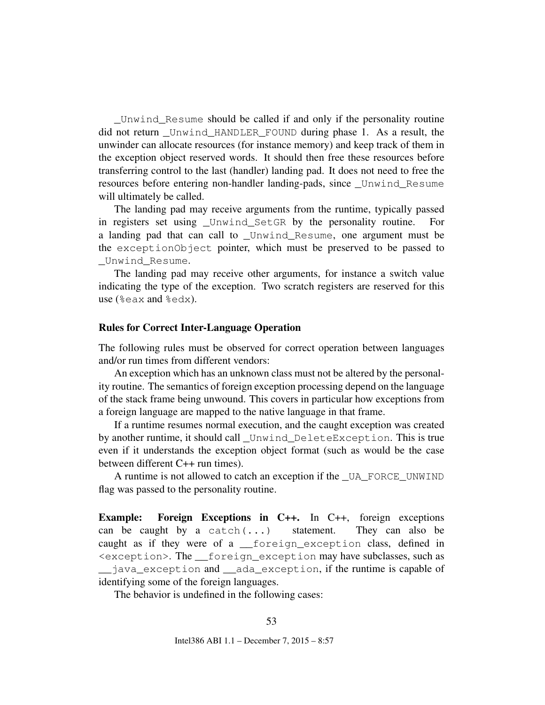\_Unwind\_Resume should be called if and only if the personality routine did not return \_Unwind\_HANDLER\_FOUND during phase 1. As a result, the unwinder can allocate resources (for instance memory) and keep track of them in the exception object reserved words. It should then free these resources before transferring control to the last (handler) landing pad. It does not need to free the resources before entering non-handler landing-pads, since \_Unwind\_Resume will ultimately be called.

The landing pad may receive arguments from the runtime, typically passed in registers set using Unwind SetGR by the personality routine. For a landing pad that can call to \_Unwind\_Resume, one argument must be the exceptionObject pointer, which must be preserved to be passed to Unwind Resume.

The landing pad may receive other arguments, for instance a switch value indicating the type of the exception. Two scratch registers are reserved for this use (%eax and %edx).

#### Rules for Correct Inter-Language Operation

The following rules must be observed for correct operation between languages and/or run times from different vendors:

An exception which has an unknown class must not be altered by the personality routine. The semantics of foreign exception processing depend on the language of the stack frame being unwound. This covers in particular how exceptions from a foreign language are mapped to the native language in that frame.

If a runtime resumes normal execution, and the caught exception was created by another runtime, it should call \_Unwind\_DeleteException. This is true even if it understands the exception object format (such as would be the case between different C++ run times).

A runtime is not allowed to catch an exception if the \_UA\_FORCE\_UNWIND flag was passed to the personality routine.

Example: Foreign Exceptions in C++. In C++, foreign exceptions can be caught by a catch $(\ldots)$  statement. They can also be caught as if they were of a \_\_foreign\_exception class, defined in <exception>. The \_\_foreign\_exception may have subclasses, such as \_\_java\_exception and \_\_ada\_exception, if the runtime is capable of identifying some of the foreign languages.

The behavior is undefined in the following cases: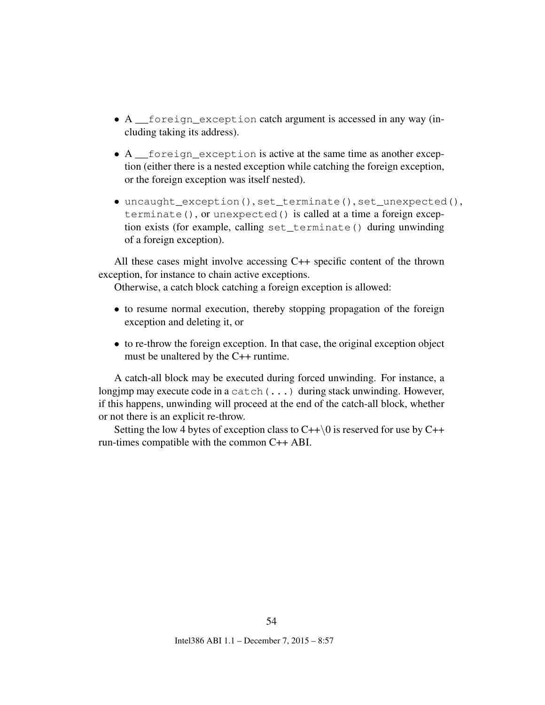- A \_\_foreign\_exception catch argument is accessed in any way (including taking its address).
- A \_\_foreign\_exception is active at the same time as another exception (either there is a nested exception while catching the foreign exception, or the foreign exception was itself nested).
- uncaught\_exception(), set\_terminate(), set\_unexpected(), terminate(), or unexpected() is called at a time a foreign exception exists (for example, calling set\_terminate() during unwinding of a foreign exception).

All these cases might involve accessing C++ specific content of the thrown exception, for instance to chain active exceptions.

Otherwise, a catch block catching a foreign exception is allowed:

- to resume normal execution, thereby stopping propagation of the foreign exception and deleting it, or
- to re-throw the foreign exception. In that case, the original exception object must be unaltered by the C++ runtime.

A catch-all block may be executed during forced unwinding. For instance, a longjmp may execute code in a catch(...) during stack unwinding. However, if this happens, unwinding will proceed at the end of the catch-all block, whether or not there is an explicit re-throw.

Setting the low 4 bytes of exception class to  $C++\setminus 0$  is reserved for use by  $C++$ run-times compatible with the common C++ ABI.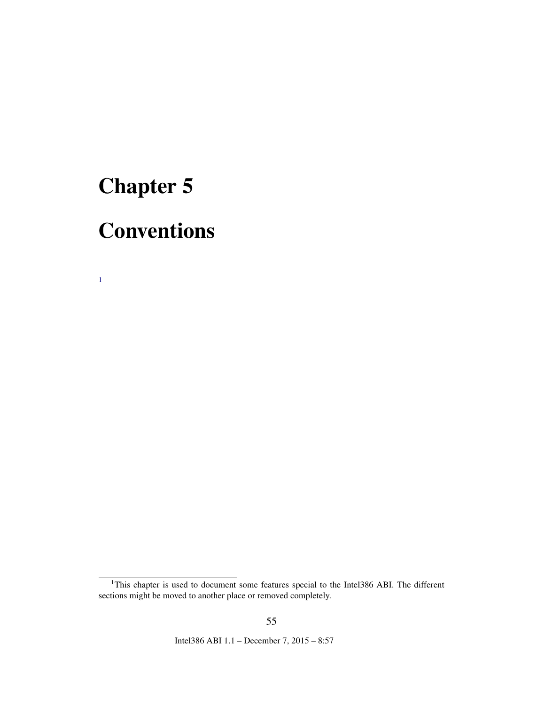# <span id="page-55-0"></span>Chapter 5

[1](#page-55-1)

# **Conventions**

<span id="page-55-1"></span><sup>&</sup>lt;sup>1</sup>This chapter is used to document some features special to the Intel386 ABI. The different sections might be moved to another place or removed completely.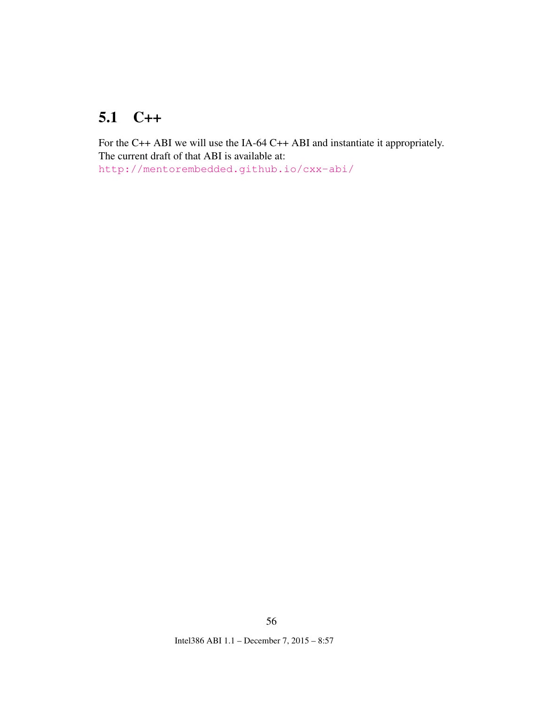## <span id="page-56-1"></span><span id="page-56-0"></span>5.1 C++

For the C++ ABI we will use the IA-64 C++ ABI and instantiate it appropriately. The current draft of that ABI is available at: <http://mentorembedded.github.io/cxx-abi/>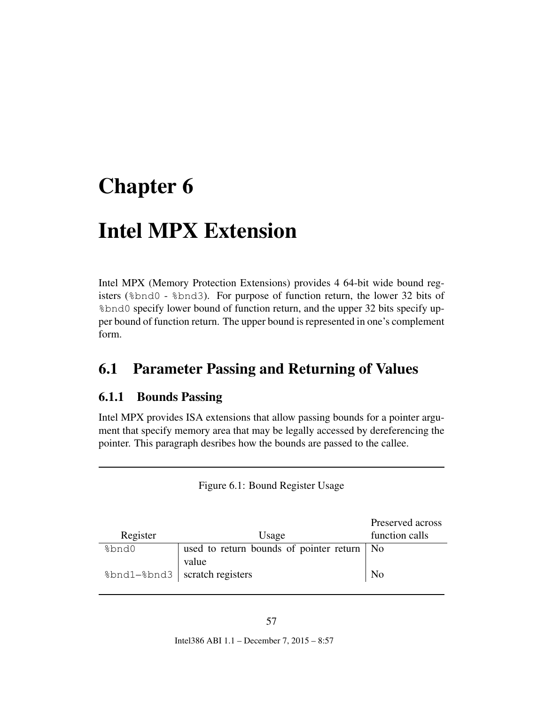# <span id="page-57-0"></span>Chapter 6

# Intel MPX Extension

Intel MPX (Memory Protection Extensions) provides 4 64-bit wide bound registers (%bnd0 - %bnd3). For purpose of function return, the lower 32 bits of %bnd0 specify lower bound of function return, and the upper 32 bits specify upper bound of function return. The upper bound is represented in one's complement form.

## <span id="page-57-1"></span>6.1 Parameter Passing and Returning of Values

### <span id="page-57-2"></span>6.1.1 Bounds Passing

Intel MPX provides ISA extensions that allow passing bounds for a pointer argument that specify memory area that may be legally accessed by dereferencing the pointer. This paragraph desribes how the bounds are passed to the callee.

<span id="page-57-3"></span>

| Figure 6.1: Bound Register Usage |  |  |  |
|----------------------------------|--|--|--|
|----------------------------------|--|--|--|

|                                 |                                              | Preserved across |
|---------------------------------|----------------------------------------------|------------------|
| Register                        | Usage                                        | function calls   |
| %bnd0                           | used to return bounds of pointer return   No |                  |
|                                 | value                                        |                  |
| %bnd1-%bnd3   scratch registers |                                              | N <sub>0</sub>   |
|                                 |                                              |                  |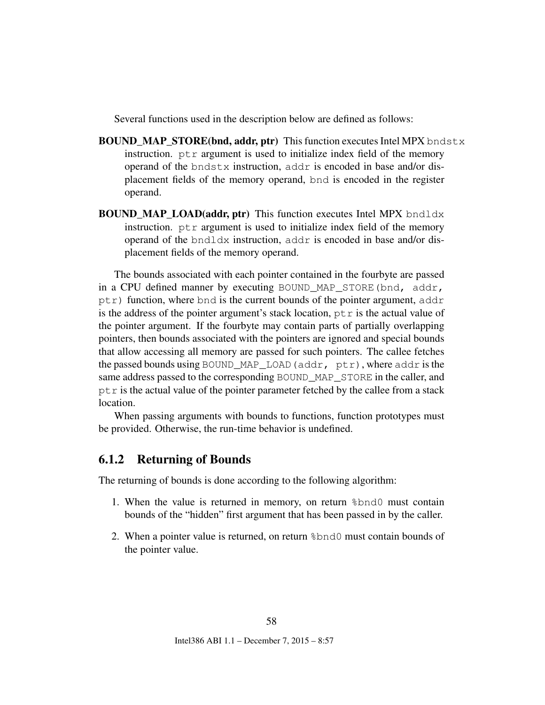Several functions used in the description below are defined as follows:

- **BOUND\_MAP\_STORE(bnd, addr, ptr)** This function executes Intel MPX bndstx instruction. ptr argument is used to initialize index field of the memory operand of the bndstx instruction, addr is encoded in base and/or displacement fields of the memory operand, bnd is encoded in the register operand.
- **BOUND\_MAP\_LOAD(addr, ptr)** This function executes Intel MPX bndldx instruction.  $p \text{tr} x$  argument is used to initialize index field of the memory operand of the bndldx instruction, addr is encoded in base and/or displacement fields of the memory operand.

The bounds associated with each pointer contained in the fourbyte are passed in a CPU defined manner by executing BOUND\_MAP\_STORE(bnd, addr,  $ptr)$  function, where bnd is the current bounds of the pointer argument, addr is the address of the pointer argument's stack location,  $p \text{tr}$  is the actual value of the pointer argument. If the fourbyte may contain parts of partially overlapping pointers, then bounds associated with the pointers are ignored and special bounds that allow accessing all memory are passed for such pointers. The callee fetches the passed bounds using BOUND\_MAP\_LOAD(addr, ptr), where addr is the same address passed to the corresponding BOUND\_MAP\_STORE in the caller, and  $p \text{tr}$  is the actual value of the pointer parameter fetched by the callee from a stack location.

When passing arguments with bounds to functions, function prototypes must be provided. Otherwise, the run-time behavior is undefined.

#### <span id="page-58-0"></span>6.1.2 Returning of Bounds

The returning of bounds is done according to the following algorithm:

- 1. When the value is returned in memory, on return %bnd0 must contain bounds of the "hidden" first argument that has been passed in by the caller.
- 2. When a pointer value is returned, on return %bnd0 must contain bounds of the pointer value.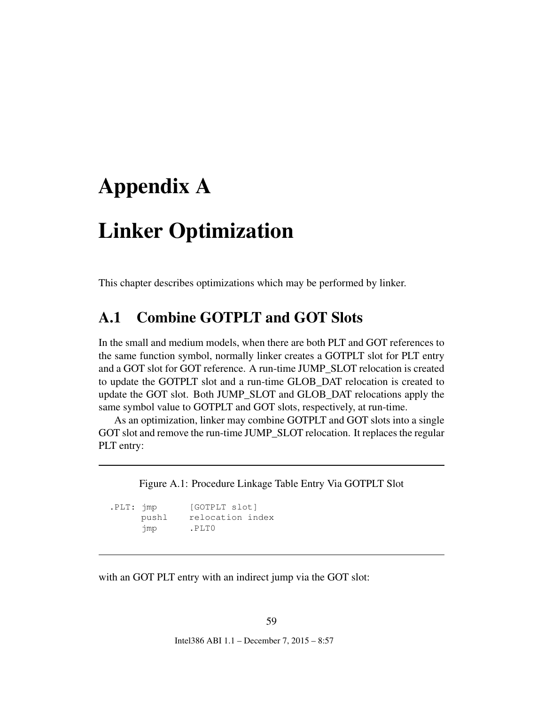## <span id="page-59-0"></span>Appendix A

# Linker Optimization

This chapter describes optimizations which may be performed by linker.

### <span id="page-59-1"></span>A.1 Combine GOTPLT and GOT Slots

In the small and medium models, when there are both PLT and GOT references to the same function symbol, normally linker creates a GOTPLT slot for PLT entry and a GOT slot for GOT reference. A run-time JUMP\_SLOT relocation is created to update the GOTPLT slot and a run-time GLOB\_DAT relocation is created to update the GOT slot. Both JUMP\_SLOT and GLOB\_DAT relocations apply the same symbol value to GOTPLT and GOT slots, respectively, at run-time.

As an optimization, linker may combine GOTPLT and GOT slots into a single GOT slot and remove the run-time JUMP\_SLOT relocation. It replaces the regular PLT entry:

<span id="page-59-2"></span>Figure A.1: Procedure Linkage Table Entry Via GOTPLT Slot

| .PLT: jmp |       | [GOTPLT slot]    |  |
|-----------|-------|------------------|--|
|           | pushl | relocation index |  |
|           | jmp   | .PLT0            |  |

with an GOT PLT entry with an indirect jump via the GOT slot: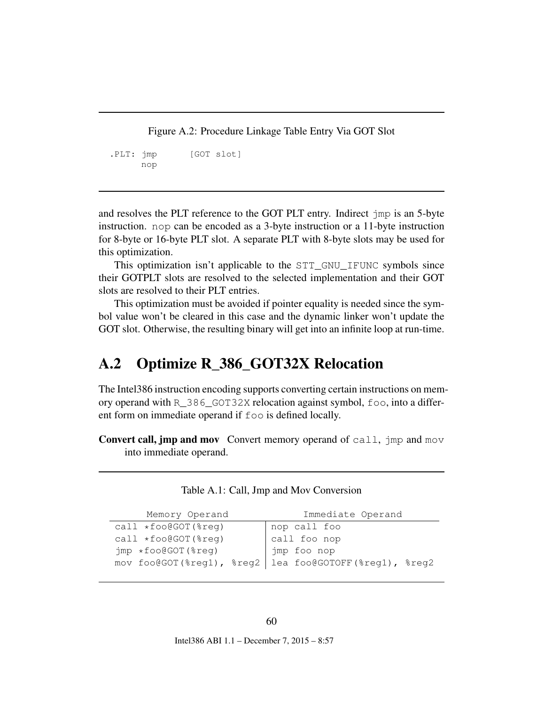<span id="page-60-3"></span><span id="page-60-2"></span>Figure A.2: Procedure Linkage Table Entry Via GOT Slot

.PLT: jmp [GOT slot] nop

and resolves the PLT reference to the GOT PLT entry. Indirect jmp is an 5-byte instruction. nop can be encoded as a 3-byte instruction or a 11-byte instruction for 8-byte or 16-byte PLT slot. A separate PLT with 8-byte slots may be used for this optimization.

This optimization isn't applicable to the STT\_GNU\_IFUNC symbols since their GOTPLT slots are resolved to the selected implementation and their GOT slots are resolved to their PLT entries.

This optimization must be avoided if pointer equality is needed since the symbol value won't be cleared in this case and the dynamic linker won't update the GOT slot. Otherwise, the resulting binary will get into an infinite loop at run-time.

## <span id="page-60-0"></span>A.2 Optimize R\_386\_GOT32X Relocation

The Intel386 instruction encoding supports converting certain instructions on memory operand with R\_386\_GOT32X relocation against symbol, foo, into a different form on immediate operand if foo is defined locally.

**Convert call, jmp and mov** Convert memory operand of call,  $\lim_{n \to \infty}$  and mov into immediate operand.

| Memory Operand         | Immediate Operand                                      |
|------------------------|--------------------------------------------------------|
| $call *foo@GOT(\$req)$ | nop call foo                                           |
| $call *foo@GOT(\$req)$ | $\vert$ call foo nop                                   |
| jmp *foo@GOT(%reg)     | imp foo nop                                            |
|                        | mov foo@GOT(%reg1), %reg2 lea foo@GOTOFF(%reg1), %reg2 |
|                        |                                                        |

#### <span id="page-60-1"></span>Table A.1: Call, Jmp and Mov Conversion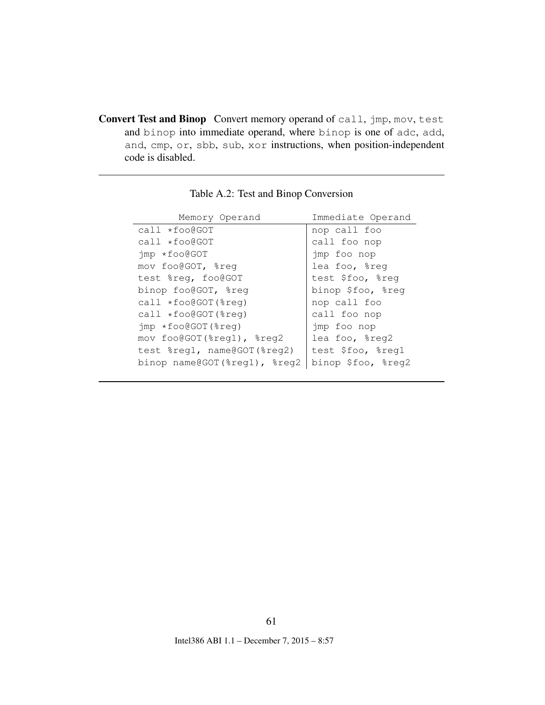<span id="page-61-1"></span>Convert Test and Binop Convert memory operand of call, jmp, mov, test and binop into immediate operand, where binop is one of adc, add, and, cmp, or, sbb, sub, xor instructions, when position-independent code is disabled.

| Memory Operand                    | Immediate Operand  |
|-----------------------------------|--------------------|
| $call *foo@GOT$                   | nop call foo       |
| $call *foo@GOT$                   | call foo nop       |
| jmp *foo@GOT                      | jmp foo nop        |
| mov foo@GOT, %req                 | lea foo, %reg      |
| test %reg, foo@GOT                | test \$foo, %req   |
| binop foo@GOT, %reg               | binop \$foo, %reg  |
| $call *foo@GOT$ $*req)$           | nop call foo       |
| $call *foo@GOT(%c)$               | call foo nop       |
| $\gamma$ mp $\star$ foo@GOT(%req) | jmp foo nop        |
| mov foo@GOT(%reg1), %reg2         | lea foo, %reg2     |
| test %reg1, name@GOT(%reg2)       | test \$foo, %reg1  |
| binop name@GOT(%reg1), %reg2      | binop \$foo, %reg2 |

<span id="page-61-0"></span>Table A.2: Test and Binop Conversion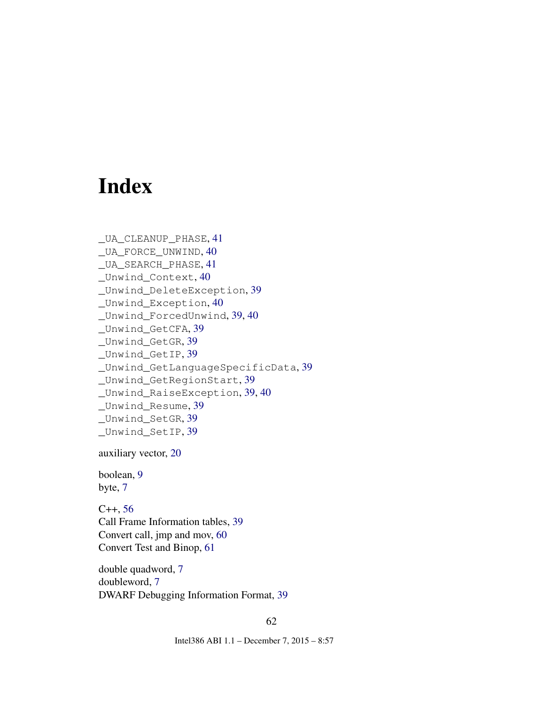# Index

```
_UA_CLEANUP_PHASE, 41
_UA_FORCE_UNWIND, 40
_UA_SEARCH_PHASE, 41
_Unwind_Context, 40
_Unwind_DeleteException, 39
_Unwind_Exception, 40
_Unwind_ForcedUnwind, 39, 40
_Unwind_GetCFA, 39
_Unwind_GetGR, 39
_Unwind_GetIP, 39
_Unwind_GetLanguageSpecificData, 39
_Unwind_GetRegionStart, 39
_Unwind_RaiseException, 39, 40
_Unwind_Resume, 39
_Unwind_SetGR, 39
_Unwind_SetIP, 39
```
auxiliary vector, [20](#page-20-3)

boolean, [9](#page-9-3) byte, [7](#page-7-4)

 $C_{++}$ , [56](#page-56-1) Call Frame Information tables, [39](#page-39-3) Convert call, jmp and mov, [60](#page-60-3) Convert Test and Binop, [61](#page-61-1)

double quadword, [7](#page-7-4) doubleword, [7](#page-7-4) DWARF Debugging Information Format, [39](#page-39-3)

62